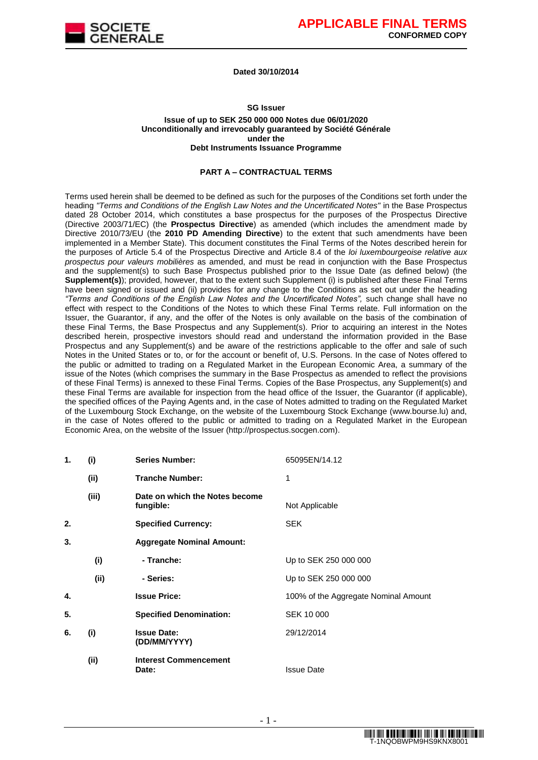

#### **Dated 30/10/2014**

### **SG Issuer Issue of up to SEK 250 000 000 Notes due 06/01/2020 Unconditionally and irrevocably guaranteed by Société Générale under the Debt Instruments Issuance Programme**

#### **PART A – CONTRACTUAL TERMS**

Terms used herein shall be deemed to be defined as such for the purposes of the Conditions set forth under the heading *"Terms and Conditions of the English Law Notes and the Uncertificated Notes"* in the Base Prospectus dated 28 October 2014, which constitutes a base prospectus for the purposes of the Prospectus Directive (Directive 2003/71/EC) (the **Prospectus Directive**) as amended (which includes the amendment made by Directive 2010/73/EU (the **2010 PD Amending Directive**) to the extent that such amendments have been implemented in a Member State). This document constitutes the Final Terms of the Notes described herein for the purposes of Article 5.4 of the Prospectus Directive and Article 8.4 of the *loi luxembourgeoise relative aux prospectus pour valeurs mobilières* as amended, and must be read in conjunction with the Base Prospectus and the supplement(s) to such Base Prospectus published prior to the Issue Date (as defined below) (the **Supplement(s)**); provided, however, that to the extent such Supplement (i) is published after these Final Terms have been signed or issued and (ii) provides for any change to the Conditions as set out under the heading *"Terms and Conditions of the English Law Notes and the Uncertificated Notes",* such change shall have no effect with respect to the Conditions of the Notes to which these Final Terms relate. Full information on the Issuer, the Guarantor, if any, and the offer of the Notes is only available on the basis of the combination of these Final Terms, the Base Prospectus and any Supplement(s). Prior to acquiring an interest in the Notes described herein, prospective investors should read and understand the information provided in the Base Prospectus and any Supplement(s) and be aware of the restrictions applicable to the offer and sale of such Notes in the United States or to, or for the account or benefit of, U.S. Persons. In the case of Notes offered to the public or admitted to trading on a Regulated Market in the European Economic Area, a summary of the issue of the Notes (which comprises the summary in the Base Prospectus as amended to reflect the provisions of these Final Terms) is annexed to these Final Terms. Copies of the Base Prospectus, any Supplement(s) and these Final Terms are available for inspection from the head office of the Issuer, the Guarantor (if applicable), the specified offices of the Paying Agents and, in the case of Notes admitted to trading on the Regulated Market of the Luxembourg Stock Exchange, on the website of the Luxembourg Stock Exchange (www.bourse.lu) and, in the case of Notes offered to the public or admitted to trading on a Regulated Market in the European Economic Area, on the website of the Issuer (http://prospectus.socgen.com).

| 1. | (i)   | <b>Series Number:</b>                       | 65095EN/14.12                        |
|----|-------|---------------------------------------------|--------------------------------------|
|    | (ii)  | <b>Tranche Number:</b>                      | 1                                    |
|    | (iii) | Date on which the Notes become<br>fungible: | Not Applicable                       |
| 2. |       | <b>Specified Currency:</b>                  | <b>SEK</b>                           |
| 3. |       | <b>Aggregate Nominal Amount:</b>            |                                      |
|    | (i)   | - Tranche:                                  | Up to SEK 250 000 000                |
|    | (ii)  | - Series:                                   | Up to SEK 250 000 000                |
| 4. |       | <b>Issue Price:</b>                         | 100% of the Aggregate Nominal Amount |
| 5. |       | <b>Specified Denomination:</b>              | SEK 10 000                           |
| 6. | (i)   | <b>Issue Date:</b><br>(DD/MM/YYYY)          | 29/12/2014                           |
|    | (ii)  | <b>Interest Commencement</b><br>Date:       | <b>Issue Date</b>                    |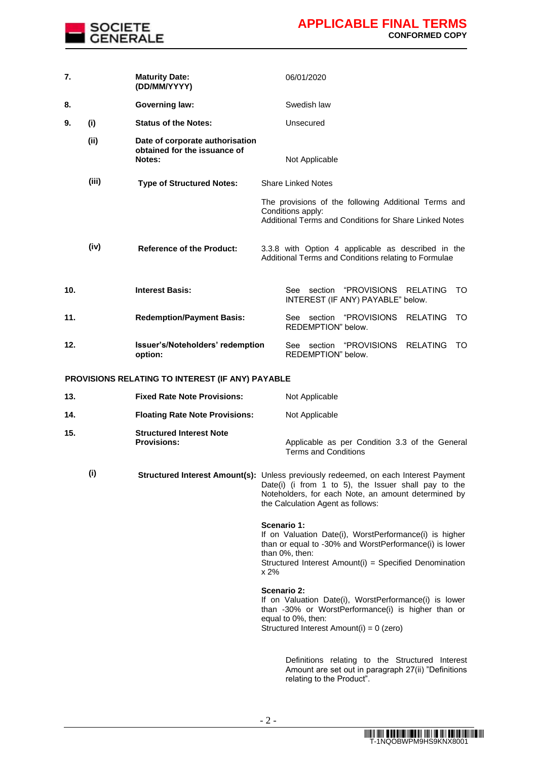

| 7.  |       | <b>Maturity Date:</b><br>(DD/MM/YYYY)                                     | 06/01/2020                                                                                                                                                                                                                              |
|-----|-------|---------------------------------------------------------------------------|-----------------------------------------------------------------------------------------------------------------------------------------------------------------------------------------------------------------------------------------|
| 8.  |       | <b>Governing law:</b>                                                     | Swedish law                                                                                                                                                                                                                             |
| 9.  | (i)   | <b>Status of the Notes:</b>                                               | Unsecured                                                                                                                                                                                                                               |
|     | (ii)  | Date of corporate authorisation<br>obtained for the issuance of<br>Notes: | Not Applicable                                                                                                                                                                                                                          |
|     | (iii) | <b>Type of Structured Notes:</b>                                          | <b>Share Linked Notes</b>                                                                                                                                                                                                               |
|     |       |                                                                           | The provisions of the following Additional Terms and<br>Conditions apply:<br>Additional Terms and Conditions for Share Linked Notes                                                                                                     |
|     | (iv)  | <b>Reference of the Product:</b>                                          | 3.3.8 with Option 4 applicable as described in the<br>Additional Terms and Conditions relating to Formulae                                                                                                                              |
| 10. |       | <b>Interest Basis:</b>                                                    | See section "PROVISIONS RELATING<br>TO<br>INTEREST (IF ANY) PAYABLE" below.                                                                                                                                                             |
| 11. |       | <b>Redemption/Payment Basis:</b>                                          | See section "PROVISIONS<br><b>RELATING</b><br>TO<br>REDEMPTION" below.                                                                                                                                                                  |
| 12. |       | Issuer's/Noteholders' redemption<br>option:                               | See section "PROVISIONS RELATING<br>TO<br>REDEMPTION" below.                                                                                                                                                                            |
|     |       | PROVISIONS RELATING TO INTEREST (IF ANY) PAYABLE                          |                                                                                                                                                                                                                                         |
| 13. |       | <b>Fixed Rate Note Provisions:</b>                                        | Not Applicable                                                                                                                                                                                                                          |
| 14. |       | <b>Floating Rate Note Provisions:</b>                                     | Not Applicable                                                                                                                                                                                                                          |
| 15. |       | <b>Structured Interest Note</b><br><b>Provisions:</b>                     | Applicable as per Condition 3.3 of the General<br><b>Terms and Conditions</b>                                                                                                                                                           |
|     | (i)   |                                                                           | Structured Interest Amount(s): Unless previously redeemed, on each Interest Payment<br>Date(i) (i from 1 to 5), the Issuer shall pay to the<br>Noteholders, for each Note, an amount determined by<br>the Calculation Agent as follows: |
|     |       |                                                                           | Scenario 1:<br>If on Valuation Date(i), WorstPerformance(i) is higher<br>than or equal to -30% and WorstPerformance(i) is lower<br>than 0%, then:<br>Structured Interest Amount(i) = Specified Denomination<br>x 2%                     |
|     |       |                                                                           | <b>Scenario 2:</b><br>If on Valuation Date(i), WorstPerformance(i) is lower<br>than -30% or WorstPerformance(i) is higher than or<br>equal to 0%, then:<br>Structured Interest Amount(i) = 0 (zero)                                     |
|     |       |                                                                           | Definitions relating to the Structured Interest<br>Amount are set out in paragraph 27(ii) "Definitions                                                                                                                                  |

relating to the Product".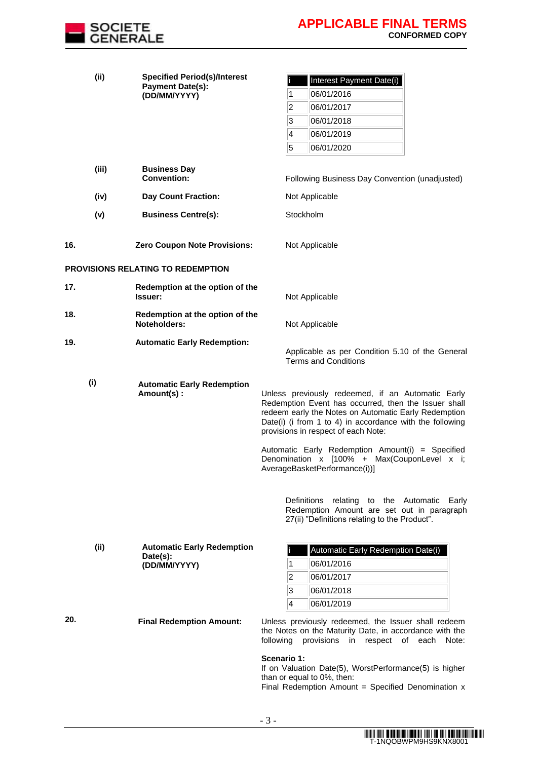

|     | (ii)  | <b>Specified Period(s)/Interest</b><br><b>Payment Date(s):</b> | Interest Payment Date(i)                                                                                                                                                                                                                                                                                                 |
|-----|-------|----------------------------------------------------------------|--------------------------------------------------------------------------------------------------------------------------------------------------------------------------------------------------------------------------------------------------------------------------------------------------------------------------|
|     |       | (DD/MM/YYYY)                                                   | 06/01/2016<br>1                                                                                                                                                                                                                                                                                                          |
|     |       |                                                                | $\overline{2}$<br>06/01/2017                                                                                                                                                                                                                                                                                             |
|     |       |                                                                | 3<br>06/01/2018                                                                                                                                                                                                                                                                                                          |
|     |       |                                                                | 4<br>06/01/2019                                                                                                                                                                                                                                                                                                          |
|     |       |                                                                | 5<br>06/01/2020                                                                                                                                                                                                                                                                                                          |
|     | (iii) | <b>Business Day</b>                                            |                                                                                                                                                                                                                                                                                                                          |
|     |       | <b>Convention:</b>                                             | Following Business Day Convention (unadjusted)                                                                                                                                                                                                                                                                           |
|     | (iv)  | <b>Day Count Fraction:</b>                                     | Not Applicable                                                                                                                                                                                                                                                                                                           |
|     | (v)   | <b>Business Centre(s):</b>                                     | Stockholm                                                                                                                                                                                                                                                                                                                |
| 16. |       | <b>Zero Coupon Note Provisions:</b>                            | Not Applicable                                                                                                                                                                                                                                                                                                           |
|     |       | PROVISIONS RELATING TO REDEMPTION                              |                                                                                                                                                                                                                                                                                                                          |
| 17. |       | Redemption at the option of the<br>Issuer:                     | Not Applicable                                                                                                                                                                                                                                                                                                           |
| 18. |       | Redemption at the option of the<br>Noteholders:                | Not Applicable                                                                                                                                                                                                                                                                                                           |
| 19. |       | <b>Automatic Early Redemption:</b>                             | Applicable as per Condition 5.10 of the General<br><b>Terms and Conditions</b>                                                                                                                                                                                                                                           |
|     | (i)   | <b>Automatic Early Redemption</b><br>Amount(s):                | Unless previously redeemed, if an Automatic Early<br>Redemption Event has occurred, then the Issuer shall<br>redeem early the Notes on Automatic Early Redemption<br>Date(i) (i from 1 to 4) in accordance with the following<br>provisions in respect of each Note:<br>Automatic Early Redemption Amount(i) = Specified |
|     |       |                                                                | Denomination x [100% + Max(CouponLevel x i;<br>AverageBasketPerformance(i))]                                                                                                                                                                                                                                             |
|     |       |                                                                | Definitions relating to the Automatic Early<br>Redemption Amount are set out in paragraph<br>27(ii) "Definitions relating to the Product".                                                                                                                                                                               |
|     | (ii)  | <b>Automatic Early Redemption</b>                              | Automatic Early Redemption Date(i)                                                                                                                                                                                                                                                                                       |
|     |       | Date(s):<br>(DD/MM/YYYY)                                       | 06/01/2016<br>1                                                                                                                                                                                                                                                                                                          |
|     |       |                                                                | 2<br>06/01/2017                                                                                                                                                                                                                                                                                                          |
|     |       |                                                                | 3<br>06/01/2018                                                                                                                                                                                                                                                                                                          |
|     |       |                                                                | 4<br>06/01/2019                                                                                                                                                                                                                                                                                                          |
| 20. |       | <b>Final Redemption Amount:</b>                                | Unless previously redeemed, the Issuer shall redeem<br>the Notes on the Maturity Date, in accordance with the<br>following provisions<br>in respect of each Note:                                                                                                                                                        |
|     |       |                                                                | Scenario 1:<br>If on Valuation Date(5), WorstPerformance(5) is higher<br>than or equal to 0%, then:<br>Final Redemption Amount = Specified Denomination $x$                                                                                                                                                              |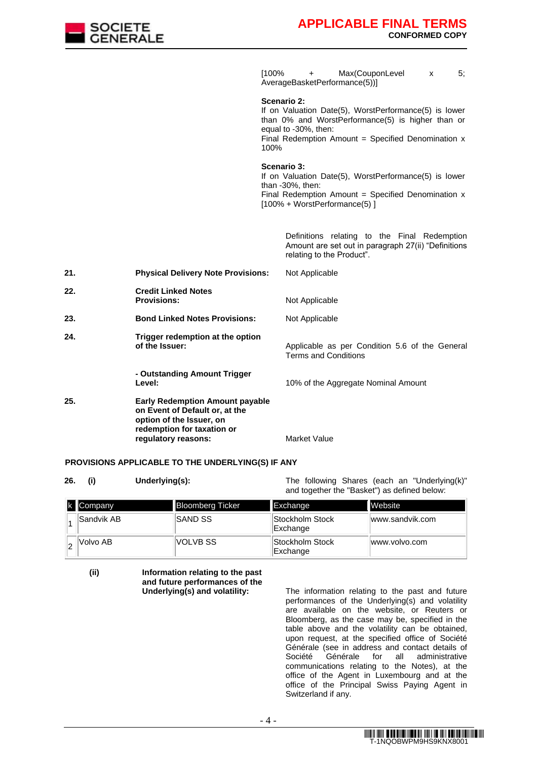

[100% + Max(CouponLevel x 5; AverageBasketPerformance(5))]

#### **Scenario 2:**

If on Valuation Date(5), WorstPerformance(5) is lower than 0% and WorstPerformance(5) is higher than or equal to -30%, then: Final Redemption Amount = Specified Denomination  $x$ 100%

#### **Scenario 3:**

If on Valuation Date(5), WorstPerformance(5) is lower than -30%, then:

Final Redemption Amount  $=$  Specified Denomination  $x$ [100% + WorstPerformance(5) ]

> Definitions relating to the Final Redemption Amount are set out in paragraph 27(ii) "Definitions relating to the Product".

| 21. | <b>Physical Delivery Note Provisions:</b>                                                                                                                 | Not Applicable                                                         |
|-----|-----------------------------------------------------------------------------------------------------------------------------------------------------------|------------------------------------------------------------------------|
| 22. | <b>Credit Linked Notes</b><br><b>Provisions:</b>                                                                                                          | Not Applicable                                                         |
| 23. | <b>Bond Linked Notes Provisions:</b>                                                                                                                      | Not Applicable                                                         |
| 24. | Trigger redemption at the option<br>of the Issuer:                                                                                                        | Applicable as per Condition 5.6 of the General<br>Terms and Conditions |
|     | - Outstanding Amount Trigger<br>Level:                                                                                                                    | 10% of the Aggregate Nominal Amount                                    |
| 25. | <b>Early Redemption Amount payable</b><br>on Event of Default or, at the<br>option of the Issuer, on<br>redemption for taxation or<br>regulatory reasons: | Market Value                                                           |

### **PROVISIONS APPLICABLE TO THE UNDERLYING(S) IF ANY**

**26. (i) Underlying(s):** The following Shares (each an "Underlying(k)" and together the "Basket") as defined below:

| k Company  | <b>Bloomberg Ticker</b> | Exchange                    | <b>Website</b>  |
|------------|-------------------------|-----------------------------|-----------------|
| Sandvik AB | <b>ISAND SS</b>         | Stockholm Stock<br>Exchange | www.sandvik.com |
| Volvo AB   | IVOLVB SS               | Stockholm Stock<br>Exchange | www.volvo.com   |

**(ii) Information relating to the past and future performances of the** 

The information relating to the past and future performances of the Underlying(s) and volatility are available on the website, or Reuters or Bloomberg, as the case may be, specified in the table above and the volatility can be obtained, upon request, at the specified office of Société Générale (see in address and contact details of<br>Société Générale for all administrative for all administrative communications relating to the Notes), at the office of the Agent in Luxembourg and at the office of the Principal Swiss Paying Agent in Switzerland if any.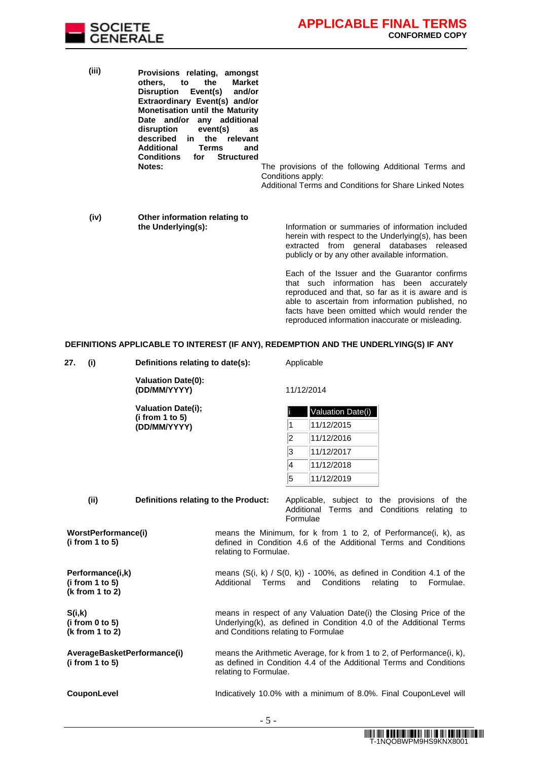

facts have been omitted which would render the reproduced information inaccurate or misleading.

| (iii) | Provisions relating, amongst<br>the<br>to<br><b>Market</b><br>others.<br>Disruption Event(s)<br>and/or<br>Extraordinary Event(s) and/or<br><b>Monetisation until the Maturity</b><br>Date and/or any additional<br>disruption<br>event(s)<br>as<br>described<br>in the relevant<br>Additional<br>Terms<br>and<br><b>Conditions</b><br><b>Structured</b><br>for<br><b>Notes:</b> | The provisions of the following Additional Terms and<br>Conditions apply:<br>Additional Terms and Conditions for Share Linked Notes                                                                    |
|-------|---------------------------------------------------------------------------------------------------------------------------------------------------------------------------------------------------------------------------------------------------------------------------------------------------------------------------------------------------------------------------------|--------------------------------------------------------------------------------------------------------------------------------------------------------------------------------------------------------|
| (iv)  | Other information relating to<br>the Underlying(s):                                                                                                                                                                                                                                                                                                                             | Information or summaries of information included<br>herein with respect to the Underlying(s), has been<br>extracted from general databases released<br>publicly or by any other available information. |
|       |                                                                                                                                                                                                                                                                                                                                                                                 | Each of the Issuer and the Guarantor confirms<br>that such information has been accurately<br>reproduced and that, so far as it is aware and is<br>able to ascertain from information published, no    |

# **DEFINITIONS APPLICABLE TO INTEREST (IF ANY), REDEMPTION AND THE UNDERLYING(S) IF ANY**

| 27.<br>(i)                                             | Definitions relating to date(s):          |                                     | Applicable |                                                                                                                                              |
|--------------------------------------------------------|-------------------------------------------|-------------------------------------|------------|----------------------------------------------------------------------------------------------------------------------------------------------|
|                                                        | <b>Valuation Date(0):</b><br>(DD/MM/YYYY) |                                     |            | 11/12/2014                                                                                                                                   |
|                                                        | <b>Valuation Date(i);</b>                 |                                     |            | Valuation Date(i)                                                                                                                            |
|                                                        | (i from 1 to 5)<br>(DD/MM/YYYY)           |                                     | 1          | 11/12/2015                                                                                                                                   |
|                                                        |                                           |                                     | 2          | 11/12/2016                                                                                                                                   |
|                                                        |                                           |                                     | 3          | 11/12/2017                                                                                                                                   |
|                                                        |                                           |                                     | 4          | 11/12/2018                                                                                                                                   |
|                                                        |                                           |                                     | 5          | 11/12/2019                                                                                                                                   |
| (ii)                                                   | Definitions relating to the Product:      |                                     | Formulae   | Applicable, subject to the provisions of the<br>Additional Terms and Conditions relating to                                                  |
| WorstPerformance(i)<br>(i from 1 to 5)                 |                                           | relating to Formulae.               |            | means the Minimum, for k from 1 to 2, of Performance(i, k), as<br>defined in Condition 4.6 of the Additional Terms and Conditions            |
| Performance(i,k)<br>(i from 1 to 5)<br>(k from 1 to 2) |                                           | Additional<br>Terms                 | and        | means $(S(i, k) / S(0, k)) - 100\%$ , as defined in Condition 4.1 of the<br>Conditions<br>Formulae.<br>relating<br>to                        |
| S(i,k)<br>(i from 0 to 5)<br>(k from 1 to 2)           |                                           | and Conditions relating to Formulae |            | means in respect of any Valuation Date(i) the Closing Price of the<br>Underlying(k), as defined in Condition 4.0 of the Additional Terms     |
| (i from 1 to 5)                                        | AverageBasketPerformance(i)               | relating to Formulae.               |            | means the Arithmetic Average, for k from 1 to 2, of Performance(i, k),<br>as defined in Condition 4.4 of the Additional Terms and Conditions |
| CouponLevel                                            |                                           |                                     |            | Indicatively 10.0% with a minimum of 8.0%. Final CouponLevel will                                                                            |
|                                                        |                                           | $-5-$                               |            |                                                                                                                                              |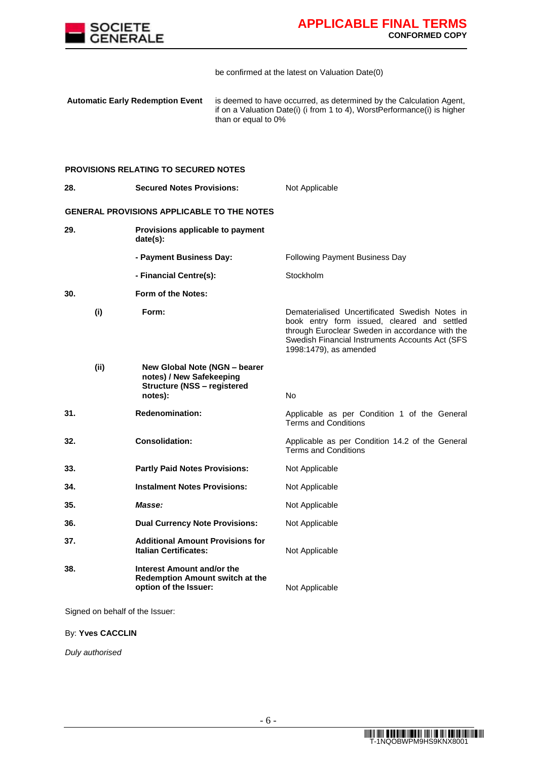

be confirmed at the latest on Valuation Date(0)

**Automatic Early Redemption Event** is deemed to have occurred, as determined by the Calculation Agent, if on a Valuation Date(i) (i from 1 to 4), WorstPerformance(i) is higher than or equal to 0%

### **PROVISIONS RELATING TO SECURED NOTES**

| 28.  | <b>Secured Notes Provisions:</b>                                                                           | Not Applicable                                                                                                                                                                                                                |
|------|------------------------------------------------------------------------------------------------------------|-------------------------------------------------------------------------------------------------------------------------------------------------------------------------------------------------------------------------------|
|      | GENERAL PROVISIONS APPLICABLE TO THE NOTES                                                                 |                                                                                                                                                                                                                               |
| 29.  | Provisions applicable to payment<br>date(s):                                                               |                                                                                                                                                                                                                               |
|      | - Payment Business Day:                                                                                    | Following Payment Business Day                                                                                                                                                                                                |
|      | - Financial Centre(s):                                                                                     | Stockholm                                                                                                                                                                                                                     |
| 30.  | Form of the Notes:                                                                                         |                                                                                                                                                                                                                               |
| (i)  | Form:                                                                                                      | Dematerialised Uncertificated Swedish Notes in<br>book entry form issued, cleared and settled<br>through Euroclear Sweden in accordance with the<br>Swedish Financial Instruments Accounts Act (SFS<br>1998:1479), as amended |
| (ii) | New Global Note (NGN - bearer<br>notes) / New Safekeeping<br><b>Structure (NSS - registered</b><br>notes): | No                                                                                                                                                                                                                            |
| 31.  | <b>Redenomination:</b>                                                                                     | Applicable as per Condition 1 of the General<br><b>Terms and Conditions</b>                                                                                                                                                   |
| 32.  | <b>Consolidation:</b>                                                                                      | Applicable as per Condition 14.2 of the General<br><b>Terms and Conditions</b>                                                                                                                                                |
| 33.  | <b>Partly Paid Notes Provisions:</b>                                                                       | Not Applicable                                                                                                                                                                                                                |
| 34.  | <b>Instalment Notes Provisions:</b>                                                                        | Not Applicable                                                                                                                                                                                                                |
| 35.  | Masse:                                                                                                     | Not Applicable                                                                                                                                                                                                                |
| 36.  | <b>Dual Currency Note Provisions:</b>                                                                      | Not Applicable                                                                                                                                                                                                                |
| 37.  | <b>Additional Amount Provisions for</b><br><b>Italian Certificates:</b>                                    | Not Applicable                                                                                                                                                                                                                |
| 38.  | Interest Amount and/or the<br>Redemption Amount switch at the<br>option of the Issuer:                     | Not Applicable                                                                                                                                                                                                                |

Signed on behalf of the Issuer:

By: **Yves CACCLIN**

*Duly authorised*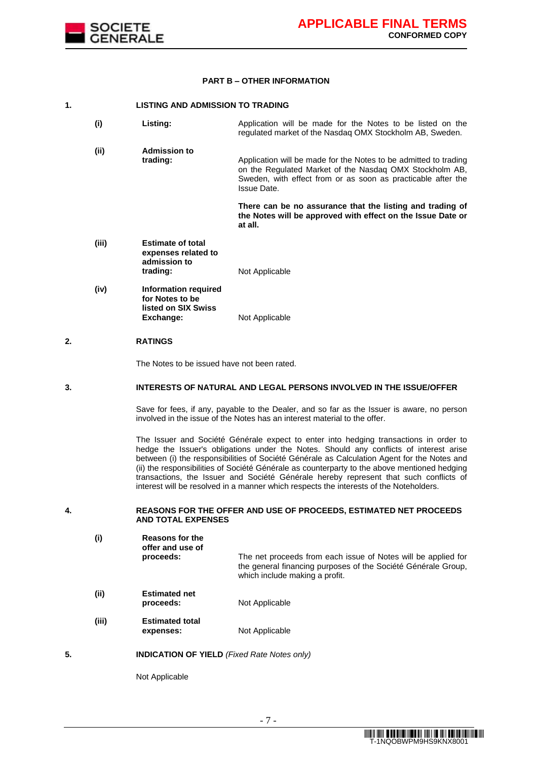

#### **PART B – OTHER INFORMATION**

### **1. LISTING AND ADMISSION TO TRADING**

| (i)   | Listing:                                                                           | Application will be made for the Notes to be listed on the<br>regulated market of the Nasdag OMX Stockholm AB, Sweden.                                                                                     |
|-------|------------------------------------------------------------------------------------|------------------------------------------------------------------------------------------------------------------------------------------------------------------------------------------------------------|
| (ii)  | <b>Admission to</b><br>trading:                                                    | Application will be made for the Notes to be admitted to trading<br>on the Regulated Market of the Nasdag OMX Stockholm AB,<br>Sweden, with effect from or as soon as practicable after the<br>Issue Date. |
|       |                                                                                    | There can be no assurance that the listing and trading of<br>the Notes will be approved with effect on the Issue Date or<br>at all.                                                                        |
| (iii) | <b>Estimate of total</b><br>expenses related to<br>admission to<br>trading:        | Not Applicable                                                                                                                                                                                             |
| (iv)  | <b>Information required</b><br>for Notes to be<br>listed on SIX Swiss<br>Exchange: | Not Applicable                                                                                                                                                                                             |

### **2. RATINGS**

The Notes to be issued have not been rated.

#### **3. INTERESTS OF NATURAL AND LEGAL PERSONS INVOLVED IN THE ISSUE/OFFER**

Save for fees, if any, payable to the Dealer, and so far as the Issuer is aware, no person involved in the issue of the Notes has an interest material to the offer.

The Issuer and Société Générale expect to enter into hedging transactions in order to hedge the Issuer's obligations under the Notes. Should any conflicts of interest arise between (i) the responsibilities of Société Générale as Calculation Agent for the Notes and (ii) the responsibilities of Société Générale as counterparty to the above mentioned hedging transactions, the Issuer and Société Générale hereby represent that such conflicts of interest will be resolved in a manner which respects the interests of the Noteholders.

### **4. REASONS FOR THE OFFER AND USE OF PROCEEDS, ESTIMATED NET PROCEEDS AND TOTAL EXPENSES**

| (i)   | Reasons for the<br>offer and use of<br>proceeds: | The net proceeds from each issue of Notes will be applied for<br>the general financing purposes of the Société Générale Group,<br>which include making a profit. |
|-------|--------------------------------------------------|------------------------------------------------------------------------------------------------------------------------------------------------------------------|
| (ii)  | <b>Estimated net</b><br>proceeds:                | Not Applicable                                                                                                                                                   |
| (iii) | <b>Estimated total</b><br>expenses:              | Not Applicable                                                                                                                                                   |

**5. INDICATION OF YIELD** *(Fixed Rate Notes only)*

Not Applicable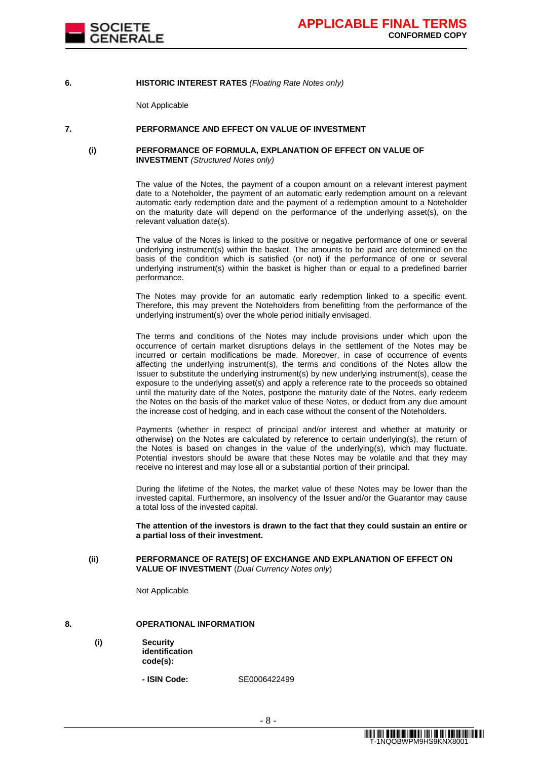

#### **6. HISTORIC INTEREST RATES** *(Floating Rate Notes only)*

Not Applicable

### **7. PERFORMANCE AND EFFECT ON VALUE OF INVESTMENT**

### **(i) PERFORMANCE OF FORMULA, EXPLANATION OF EFFECT ON VALUE OF INVESTMENT** *(Structured Notes only)*

The value of the Notes, the payment of a coupon amount on a relevant interest payment date to a Noteholder, the payment of an automatic early redemption amount on a relevant automatic early redemption date and the payment of a redemption amount to a Noteholder on the maturity date will depend on the performance of the underlying asset(s), on the relevant valuation date(s).

The value of the Notes is linked to the positive or negative performance of one or several underlying instrument(s) within the basket. The amounts to be paid are determined on the basis of the condition which is satisfied (or not) if the performance of one or several underlying instrument(s) within the basket is higher than or equal to a predefined barrier performance.

The Notes may provide for an automatic early redemption linked to a specific event. Therefore, this may prevent the Noteholders from benefitting from the performance of the underlying instrument(s) over the whole period initially envisaged.

The terms and conditions of the Notes may include provisions under which upon the occurrence of certain market disruptions delays in the settlement of the Notes may be incurred or certain modifications be made. Moreover, in case of occurrence of events affecting the underlying instrument(s), the terms and conditions of the Notes allow the Issuer to substitute the underlying instrument(s) by new underlying instrument(s), cease the exposure to the underlying asset(s) and apply a reference rate to the proceeds so obtained until the maturity date of the Notes, postpone the maturity date of the Notes, early redeem the Notes on the basis of the market value of these Notes, or deduct from any due amount the increase cost of hedging, and in each case without the consent of the Noteholders.

Payments (whether in respect of principal and/or interest and whether at maturity or otherwise) on the Notes are calculated by reference to certain underlying(s), the return of the Notes is based on changes in the value of the underlying(s), which may fluctuate. Potential investors should be aware that these Notes may be volatile and that they may receive no interest and may lose all or a substantial portion of their principal.

During the lifetime of the Notes, the market value of these Notes may be lower than the invested capital. Furthermore, an insolvency of the Issuer and/or the Guarantor may cause a total loss of the invested capital.

**The attention of the investors is drawn to the fact that they could sustain an entire or a partial loss of their investment.**

#### **(ii) PERFORMANCE OF RATE[S] OF EXCHANGE AND EXPLANATION OF EFFECT ON VALUE OF INVESTMENT** (*Dual Currency Notes only*)

Not Applicable

### **8. OPERATIONAL INFORMATION**

**(i) Security identification code(s):**

**- ISIN Code:** SE0006422499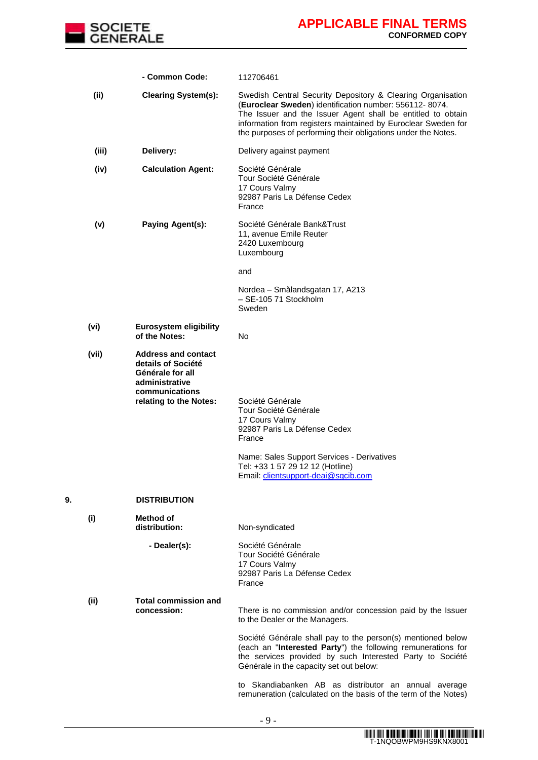

|    |       | - Common Code:                                                                                                                     | 112706461                                                                                                                                                                                                                                                                                                              |
|----|-------|------------------------------------------------------------------------------------------------------------------------------------|------------------------------------------------------------------------------------------------------------------------------------------------------------------------------------------------------------------------------------------------------------------------------------------------------------------------|
|    | (ii)  | <b>Clearing System(s):</b>                                                                                                         | Swedish Central Security Depository & Clearing Organisation<br>(Euroclear Sweden) identification number: 556112-8074.<br>The Issuer and the Issuer Agent shall be entitled to obtain<br>information from registers maintained by Euroclear Sweden for<br>the purposes of performing their obligations under the Notes. |
|    | (iii) | Delivery:                                                                                                                          | Delivery against payment                                                                                                                                                                                                                                                                                               |
|    | (iv)  | <b>Calculation Agent:</b>                                                                                                          | Société Générale<br>Tour Société Générale<br>17 Cours Valmy<br>92987 Paris La Défense Cedex<br>France                                                                                                                                                                                                                  |
|    | (v)   | <b>Paying Agent(s):</b>                                                                                                            | Société Générale Bank&Trust<br>11, avenue Emile Reuter<br>2420 Luxembourg<br>Luxembourg                                                                                                                                                                                                                                |
|    |       |                                                                                                                                    | and                                                                                                                                                                                                                                                                                                                    |
|    |       |                                                                                                                                    | Nordea - Smålandsgatan 17, A213<br>- SE-105 71 Stockholm<br>Sweden                                                                                                                                                                                                                                                     |
|    | (vi)  | <b>Eurosystem eligibility</b><br>of the Notes:                                                                                     | No                                                                                                                                                                                                                                                                                                                     |
|    | (vii) | <b>Address and contact</b><br>details of Société<br>Générale for all<br>administrative<br>communications<br>relating to the Notes: | Société Générale<br>Tour Société Générale<br>17 Cours Valmy<br>92987 Paris La Défense Cedex<br>France<br>Name: Sales Support Services - Derivatives<br>Tel: +33 1 57 29 12 12 (Hotline)<br>Email: clientsupport-deai@sgcib.com                                                                                         |
| 9. |       | <b>DISTRIBUTION</b>                                                                                                                |                                                                                                                                                                                                                                                                                                                        |
|    | (i)   | Method of<br>distribution:                                                                                                         | Non-syndicated                                                                                                                                                                                                                                                                                                         |
|    |       | - Dealer(s):                                                                                                                       | Société Générale<br>Tour Société Générale<br>17 Cours Valmy<br>92987 Paris La Défense Cedex<br>France                                                                                                                                                                                                                  |
|    | (ii)  | <b>Total commission and</b><br>concession:                                                                                         | There is no commission and/or concession paid by the Issuer<br>to the Dealer or the Managers.                                                                                                                                                                                                                          |
|    |       |                                                                                                                                    | Société Générale shall pay to the person(s) mentioned below<br>(each an "Interested Party") the following remunerations for<br>the services provided by such Interested Party to Société<br>Générale in the capacity set out below:                                                                                    |
|    |       |                                                                                                                                    | to Skandiabanken AB as distributor an annual average<br>remuneration (calculated on the basis of the term of the Notes)                                                                                                                                                                                                |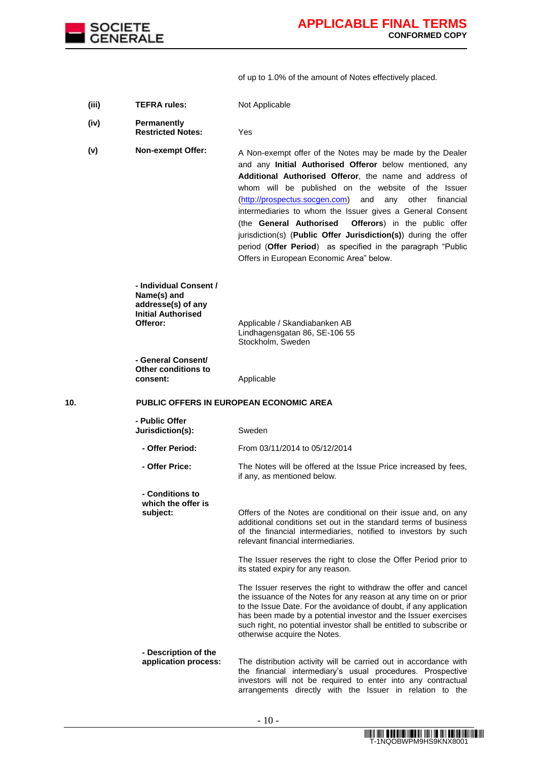

of up to 1.0% of the amount of Notes effectively placed.

**(iii) TEFRA rules:** Not Applicable

- **(iv) Permanently Restricted Notes:** Yes
- **(v)** Non-exempt Offer: A Non-exempt offer of the Notes may be made by the Dealer and any **Initial Authorised Offeror** below mentioned, any **Additional Authorised Offeror**, the name and address of whom will be published on the website of the Issuer [\(http://prospectus.socgen.com\)](http://prospectus.socgen.com/) and any other financial intermediaries to whom the Issuer gives a General Consent (the **General Authorised Offerors**) in the public offer jurisdiction(s) (**Public Offer Jurisdiction(s)**) during the offer period (**Offer Period**) as specified in the paragraph "Public Offers in European Economic Area" below.

**- Individual Consent / Name(s) and addresse(s) of any Initial Authorised** 

**Offeror:** Applicable / Skandiabanken AB Lindhagensgatan 86, SE-106 55 Stockholm, Sweden

**- General Consent/ Other conditions to consent:** Applicable

**10. PUBLIC OFFERS IN EUROPEAN ECONOMIC AREA**

| - Public Offer<br>Jurisdiction(s):                | Sweden                                                                                                                                                                                                                                                                                                                                           |
|---------------------------------------------------|--------------------------------------------------------------------------------------------------------------------------------------------------------------------------------------------------------------------------------------------------------------------------------------------------------------------------------------------------|
| - Offer Period:                                   | From 03/11/2014 to 05/12/2014                                                                                                                                                                                                                                                                                                                    |
| - Offer Price:                                    | The Notes will be offered at the Issue Price increased by fees,<br>if any, as mentioned below.                                                                                                                                                                                                                                                   |
| - Conditions to<br>which the offer is<br>subject: | Offers of the Notes are conditional on their issue and, on any<br>additional conditions set out in the standard terms of business<br>of the financial intermediaries, notified to investors by such<br>relevant financial intermediaries.                                                                                                        |
|                                                   | The Issuer reserves the right to close the Offer Period prior to<br>its stated expiry for any reason.                                                                                                                                                                                                                                            |
|                                                   | The Issuer reserves the right to withdraw the offer and cancel<br>the issuance of the Notes for any reason at any time on or prior<br>to the Issue Date. For the avoidance of doubt, if any application<br>has been made by a potential investor and the Issuer exercises<br>such right, no potential investor shall be entitled to subscribe or |

#### **- Description of the application process:** The distribution activity will be carried out in accordance with the financial intermediary's usual procedures. Prospective investors will not be required to enter into any contractual arrangements directly with the Issuer in relation to the

otherwise acquire the Notes.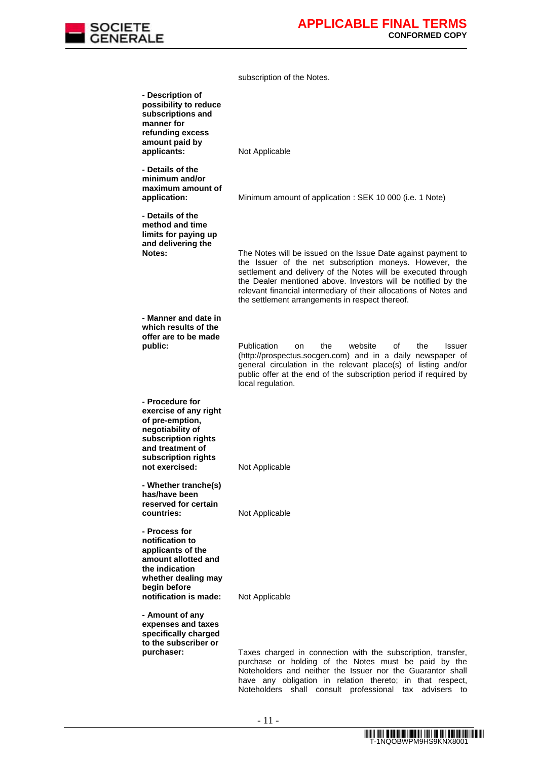

subscription of the Notes.

| - Description of<br>possibility to reduce<br>subscriptions and<br>manner for<br>refunding excess<br>amount paid by<br>applicants:                                   | Not Applicable                                                                                                                                                                                                                                                                                                                                                                     |
|---------------------------------------------------------------------------------------------------------------------------------------------------------------------|------------------------------------------------------------------------------------------------------------------------------------------------------------------------------------------------------------------------------------------------------------------------------------------------------------------------------------------------------------------------------------|
| - Details of the<br>minimum and/or<br>maximum amount of<br>application:                                                                                             | Minimum amount of application : SEK 10 000 (i.e. 1 Note)                                                                                                                                                                                                                                                                                                                           |
| - Details of the<br>method and time<br>limits for paying up<br>and delivering the<br>Notes:                                                                         | The Notes will be issued on the Issue Date against payment to<br>the Issuer of the net subscription moneys. However, the<br>settlement and delivery of the Notes will be executed through<br>the Dealer mentioned above. Investors will be notified by the<br>relevant financial intermediary of their allocations of Notes and<br>the settlement arrangements in respect thereof. |
| - Manner and date in<br>which results of the<br>offer are to be made<br>public:                                                                                     | <b>Publication</b><br>the<br>website<br>οf<br>the<br>Issuer<br>on<br>(http://prospectus.socgen.com) and in a daily newspaper of<br>general circulation in the relevant place(s) of listing and/or<br>public offer at the end of the subscription period if required by                                                                                                             |
| - Procedure for<br>exercise of any right<br>of pre-emption,<br>negotiability of<br>subscription rights<br>and treatment of<br>subscription rights<br>not exercised: | local regulation.<br>Not Applicable                                                                                                                                                                                                                                                                                                                                                |
| - Whether tranche(s)<br>has/have been<br>reserved for certain<br>countries:                                                                                         | Not Applicable                                                                                                                                                                                                                                                                                                                                                                     |
| - Process for<br>notification to<br>applicants of the<br>amount allotted and<br>the indication<br>whether dealing may<br>begin before<br>notification is made:      | Not Applicable                                                                                                                                                                                                                                                                                                                                                                     |
| - Amount of any<br>expenses and taxes<br>specifically charged<br>to the subscriber or<br>purchaser:                                                                 | Taxes charged in connection with the subscription, transfer,<br>purchase or holding of the Notes must be paid by the<br>Noteholders and neither the Issuer nor the Guarantor shall<br>have any obligation in relation thereto; in that respect,<br>Noteholders shall consult professional tax advisers to                                                                          |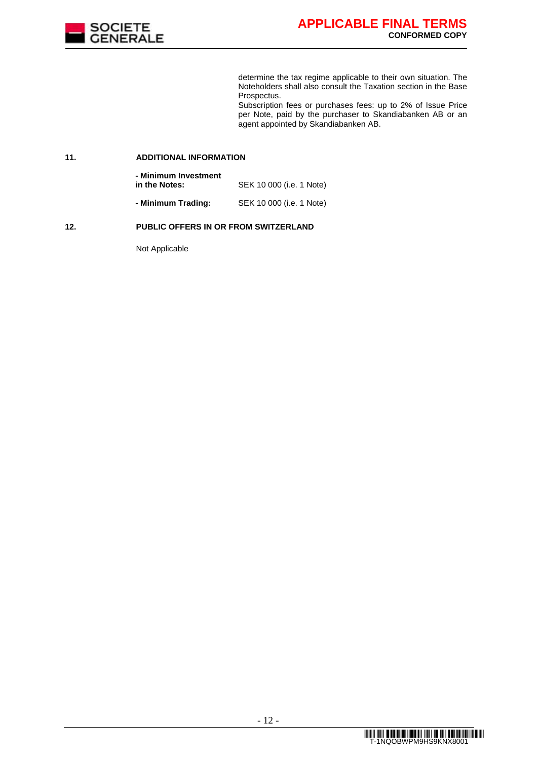

determine the tax regime applicable to their own situation. The Noteholders shall also consult the Taxation section in the Base Prospectus.

Subscription fees or purchases fees: up to 2% of Issue Price per Note, paid by the purchaser to Skandiabanken AB or an agent appointed by Skandiabanken AB.

#### **11. ADDITIONAL INFORMATION**

**- Minimum Investment in the Notes:** SEK 10 000 (i.e. 1 Note) **- Minimum Trading:** SEK 10 000 (i.e. 1 Note)

### **12. PUBLIC OFFERS IN OR FROM SWITZERLAND**

Not Applicable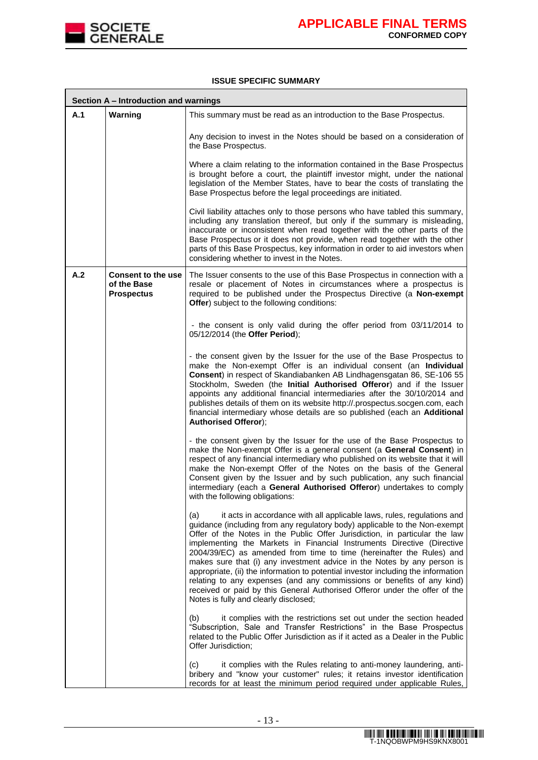

### **ISSUE SPECIFIC SUMMARY**

|     | Section A - Introduction and warnings                         |                                                                                                                                                                                                                                                                                                                                                                                                                                                                                                                                                                                                                                                                                                                                                              |  |  |  |  |  |
|-----|---------------------------------------------------------------|--------------------------------------------------------------------------------------------------------------------------------------------------------------------------------------------------------------------------------------------------------------------------------------------------------------------------------------------------------------------------------------------------------------------------------------------------------------------------------------------------------------------------------------------------------------------------------------------------------------------------------------------------------------------------------------------------------------------------------------------------------------|--|--|--|--|--|
| A.1 | Warning                                                       | This summary must be read as an introduction to the Base Prospectus.                                                                                                                                                                                                                                                                                                                                                                                                                                                                                                                                                                                                                                                                                         |  |  |  |  |  |
|     |                                                               | Any decision to invest in the Notes should be based on a consideration of<br>the Base Prospectus.                                                                                                                                                                                                                                                                                                                                                                                                                                                                                                                                                                                                                                                            |  |  |  |  |  |
|     |                                                               | Where a claim relating to the information contained in the Base Prospectus<br>is brought before a court, the plaintiff investor might, under the national<br>legislation of the Member States, have to bear the costs of translating the<br>Base Prospectus before the legal proceedings are initiated.                                                                                                                                                                                                                                                                                                                                                                                                                                                      |  |  |  |  |  |
|     |                                                               | Civil liability attaches only to those persons who have tabled this summary,<br>including any translation thereof, but only if the summary is misleading,<br>inaccurate or inconsistent when read together with the other parts of the<br>Base Prospectus or it does not provide, when read together with the other<br>parts of this Base Prospectus, key information in order to aid investors when<br>considering whether to invest in the Notes.                                                                                                                                                                                                                                                                                                          |  |  |  |  |  |
| A.2 | <b>Consent to the use</b><br>of the Base<br><b>Prospectus</b> | The Issuer consents to the use of this Base Prospectus in connection with a<br>resale or placement of Notes in circumstances where a prospectus is<br>required to be published under the Prospectus Directive (a Non-exempt<br>Offer) subject to the following conditions:                                                                                                                                                                                                                                                                                                                                                                                                                                                                                   |  |  |  |  |  |
|     |                                                               | - the consent is only valid during the offer period from 03/11/2014 to<br>05/12/2014 (the Offer Period);                                                                                                                                                                                                                                                                                                                                                                                                                                                                                                                                                                                                                                                     |  |  |  |  |  |
|     |                                                               | - the consent given by the Issuer for the use of the Base Prospectus to<br>make the Non-exempt Offer is an individual consent (an Individual<br>Consent) in respect of Skandiabanken AB Lindhagensgatan 86, SE-106 55<br>Stockholm, Sweden (the Initial Authorised Offeror) and if the Issuer<br>appoints any additional financial intermediaries after the 30/10/2014 and<br>publishes details of them on its website http://.prospectus.socgen.com, each<br>financial intermediary whose details are so published (each an Additional<br><b>Authorised Offeror);</b>                                                                                                                                                                                       |  |  |  |  |  |
|     |                                                               | - the consent given by the Issuer for the use of the Base Prospectus to<br>make the Non-exempt Offer is a general consent (a General Consent) in<br>respect of any financial intermediary who published on its website that it will<br>make the Non-exempt Offer of the Notes on the basis of the General<br>Consent given by the Issuer and by such publication, any such financial<br>intermediary (each a General Authorised Offeror) undertakes to comply<br>with the following obligations:                                                                                                                                                                                                                                                             |  |  |  |  |  |
|     |                                                               | it acts in accordance with all applicable laws, rules, regulations and<br>(a)<br>guidance (including from any regulatory body) applicable to the Non-exempt<br>Offer of the Notes in the Public Offer Jurisdiction, in particular the law<br>implementing the Markets in Financial Instruments Directive (Directive<br>2004/39/EC) as amended from time to time (hereinafter the Rules) and<br>makes sure that (i) any investment advice in the Notes by any person is<br>appropriate, (ii) the information to potential investor including the information<br>relating to any expenses (and any commissions or benefits of any kind)<br>received or paid by this General Authorised Offeror under the offer of the<br>Notes is fully and clearly disclosed; |  |  |  |  |  |
|     |                                                               | it complies with the restrictions set out under the section headed<br>(b)<br>"Subscription, Sale and Transfer Restrictions" in the Base Prospectus<br>related to the Public Offer Jurisdiction as if it acted as a Dealer in the Public<br>Offer Jurisdiction;                                                                                                                                                                                                                                                                                                                                                                                                                                                                                               |  |  |  |  |  |
|     |                                                               | (c)<br>it complies with the Rules relating to anti-money laundering, anti-<br>bribery and "know your customer" rules; it retains investor identification<br>records for at least the minimum period required under applicable Rules,                                                                                                                                                                                                                                                                                                                                                                                                                                                                                                                         |  |  |  |  |  |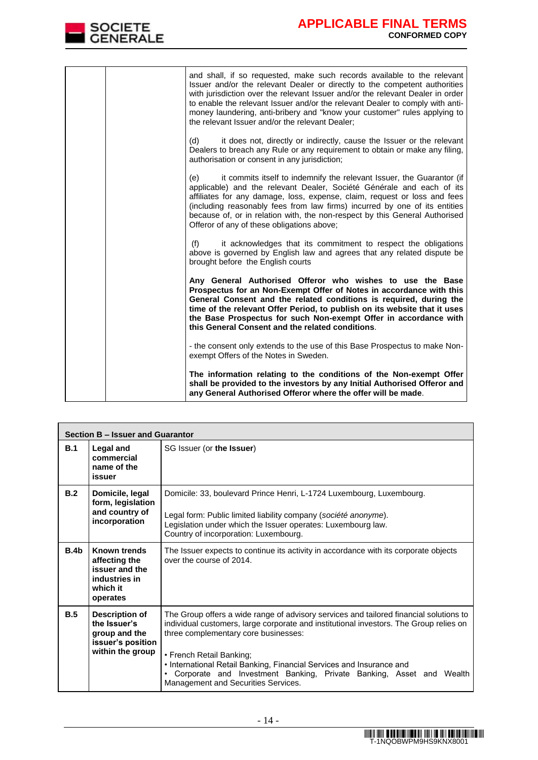

|  | and shall, if so requested, make such records available to the relevant<br>Issuer and/or the relevant Dealer or directly to the competent authorities<br>with jurisdiction over the relevant Issuer and/or the relevant Dealer in order<br>to enable the relevant Issuer and/or the relevant Dealer to comply with anti-<br>money laundering, anti-bribery and "know your customer" rules applying to<br>the relevant Issuer and/or the relevant Dealer; |
|--|----------------------------------------------------------------------------------------------------------------------------------------------------------------------------------------------------------------------------------------------------------------------------------------------------------------------------------------------------------------------------------------------------------------------------------------------------------|
|  | it does not, directly or indirectly, cause the Issuer or the relevant<br>(d)<br>Dealers to breach any Rule or any requirement to obtain or make any filing,<br>authorisation or consent in any jurisdiction;                                                                                                                                                                                                                                             |
|  | it commits itself to indemnify the relevant Issuer, the Guarantor (if<br>(e)<br>applicable) and the relevant Dealer, Société Générale and each of its<br>affiliates for any damage, loss, expense, claim, request or loss and fees<br>(including reasonably fees from law firms) incurred by one of its entities<br>because of, or in relation with, the non-respect by this General Authorised<br>Offeror of any of these obligations above;            |
|  | (f)<br>it acknowledges that its commitment to respect the obligations<br>above is governed by English law and agrees that any related dispute be<br>brought before the English courts                                                                                                                                                                                                                                                                    |
|  | Any General Authorised Offeror who wishes to use the Base<br>Prospectus for an Non-Exempt Offer of Notes in accordance with this<br>General Consent and the related conditions is required, during the<br>time of the relevant Offer Period, to publish on its website that it uses<br>the Base Prospectus for such Non-exempt Offer in accordance with<br>this General Consent and the related conditions.                                              |
|  | - the consent only extends to the use of this Base Prospectus to make Non-<br>exempt Offers of the Notes in Sweden.                                                                                                                                                                                                                                                                                                                                      |
|  | The information relating to the conditions of the Non-exempt Offer<br>shall be provided to the investors by any Initial Authorised Offeror and<br>any General Authorised Offeror where the offer will be made.                                                                                                                                                                                                                                           |

|                  | Section B - Issuer and Guarantor                                                                |                                                                                                                                                                                                                                                                                                                                                                                                                                                         |  |  |  |  |  |
|------------------|-------------------------------------------------------------------------------------------------|---------------------------------------------------------------------------------------------------------------------------------------------------------------------------------------------------------------------------------------------------------------------------------------------------------------------------------------------------------------------------------------------------------------------------------------------------------|--|--|--|--|--|
| B.1              | Legal and<br>commercial<br>name of the<br>issuer                                                | SG Issuer (or the Issuer)                                                                                                                                                                                                                                                                                                                                                                                                                               |  |  |  |  |  |
| B.2              | Domicile, legal<br>form, legislation<br>and country of<br>incorporation                         | Domicile: 33, boulevard Prince Henri, L-1724 Luxembourg, Luxembourg.<br>Legal form: Public limited liability company (société anonyme).<br>Legislation under which the Issuer operates: Luxembourg law.<br>Country of incorporation: Luxembourg.                                                                                                                                                                                                        |  |  |  |  |  |
| B.4 <sub>b</sub> | Known trends<br>affecting the<br>issuer and the<br>industries in<br>which it<br>operates        | The Issuer expects to continue its activity in accordance with its corporate objects<br>over the course of 2014.                                                                                                                                                                                                                                                                                                                                        |  |  |  |  |  |
| B.5              | <b>Description of</b><br>the Issuer's<br>group and the<br>issuer's position<br>within the group | The Group offers a wide range of advisory services and tailored financial solutions to<br>individual customers, large corporate and institutional investors. The Group relies on<br>three complementary core businesses:<br>• French Retail Banking;<br>• International Retail Banking, Financial Services and Insurance and<br>Corporate and Investment Banking, Private Banking, Asset and Wealth<br>$\bullet$<br>Management and Securities Services. |  |  |  |  |  |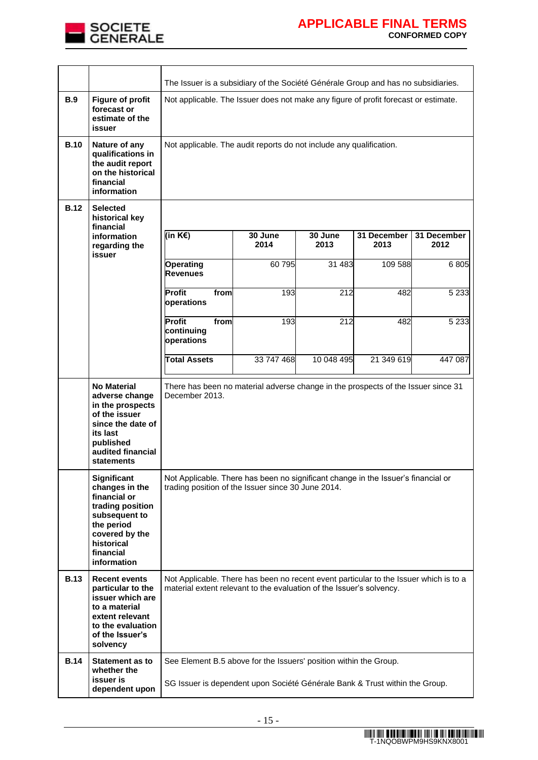

|             |                                                                                                                                                                     | The Issuer is a subsidiary of the Société Générale Group and has no subsidiaries.                                                                             |                 |                 |                     |                     |  |  |
|-------------|---------------------------------------------------------------------------------------------------------------------------------------------------------------------|---------------------------------------------------------------------------------------------------------------------------------------------------------------|-----------------|-----------------|---------------------|---------------------|--|--|
| B.9         | <b>Figure of profit</b><br>forecast or<br>estimate of the<br>issuer                                                                                                 | Not applicable. The Issuer does not make any figure of profit forecast or estimate.                                                                           |                 |                 |                     |                     |  |  |
| <b>B.10</b> | Nature of any<br>qualifications in<br>the audit report<br>on the historical<br>financial<br>information                                                             | Not applicable. The audit reports do not include any qualification.                                                                                           |                 |                 |                     |                     |  |  |
| <b>B.12</b> | <b>Selected</b><br>historical key<br>financial                                                                                                                      |                                                                                                                                                               |                 |                 |                     |                     |  |  |
|             | information<br>regarding the<br>issuer                                                                                                                              | (in K€)                                                                                                                                                       | 30 June<br>2014 | 30 June<br>2013 | 31 December<br>2013 | 31 December<br>2012 |  |  |
|             |                                                                                                                                                                     | <b>Operating</b><br><b>Revenues</b>                                                                                                                           | 60 795          | 31 483          | 109 588             | 6805                |  |  |
|             |                                                                                                                                                                     | Profit<br>from<br>operations                                                                                                                                  | 193             | 212             | 482                 | 5 2 3 3             |  |  |
|             |                                                                                                                                                                     | Profit<br>from<br>continuing<br>operations                                                                                                                    | 193             | 212             | 482                 | 5 2 3 3             |  |  |
|             |                                                                                                                                                                     | <b>Total Assets</b>                                                                                                                                           | 33 747 468      | 10 048 495      | 21 349 619          | 447 087             |  |  |
|             | <b>No Material</b><br>adverse change<br>in the prospects<br>of the issuer<br>since the date of<br>its last<br>published<br>audited financial<br>statements          | There has been no material adverse change in the prospects of the Issuer since 31<br>December 2013.                                                           |                 |                 |                     |                     |  |  |
|             | <b>Significant</b><br>changes in the<br>financial or<br>trading position<br>subsequent to<br>the period<br>covered by the<br>historical<br>financial<br>information | Not Applicable. There has been no significant change in the Issuer's financial or<br>trading position of the Issuer since 30 June 2014.                       |                 |                 |                     |                     |  |  |
| <b>B.13</b> | <b>Recent events</b><br>particular to the<br>issuer which are<br>to a material<br>extent relevant<br>to the evaluation<br>of the Issuer's<br>solvency               | Not Applicable. There has been no recent event particular to the Issuer which is to a<br>material extent relevant to the evaluation of the Issuer's solvency. |                 |                 |                     |                     |  |  |
| <b>B.14</b> | <b>Statement as to</b><br>whether the<br>issuer is<br>dependent upon                                                                                                | See Element B.5 above for the Issuers' position within the Group.<br>SG Issuer is dependent upon Société Générale Bank & Trust within the Group.              |                 |                 |                     |                     |  |  |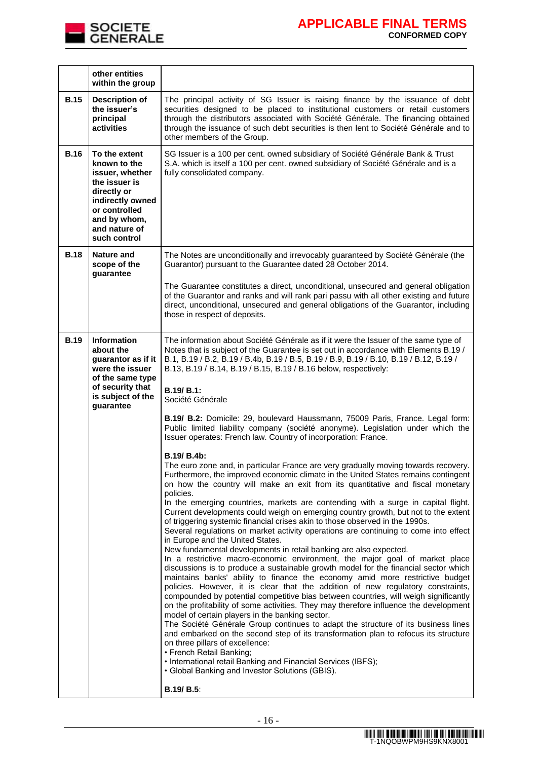

|             | other entities<br>within the group                                                                                                                                     |                                                                                                                                                                                                                                                                                                                                                                                                                                                                                                                                                                                                                                                                                                                                                                                                                                                                                                                                                                                                                                                                                                                                                                                                                                                                                                                                                                                                                                                                                                                                                                                                                                                                                                                                                                                                                                                                                                                                                                                                                                                                                                                                                                                                                                                                                                                                            |
|-------------|------------------------------------------------------------------------------------------------------------------------------------------------------------------------|--------------------------------------------------------------------------------------------------------------------------------------------------------------------------------------------------------------------------------------------------------------------------------------------------------------------------------------------------------------------------------------------------------------------------------------------------------------------------------------------------------------------------------------------------------------------------------------------------------------------------------------------------------------------------------------------------------------------------------------------------------------------------------------------------------------------------------------------------------------------------------------------------------------------------------------------------------------------------------------------------------------------------------------------------------------------------------------------------------------------------------------------------------------------------------------------------------------------------------------------------------------------------------------------------------------------------------------------------------------------------------------------------------------------------------------------------------------------------------------------------------------------------------------------------------------------------------------------------------------------------------------------------------------------------------------------------------------------------------------------------------------------------------------------------------------------------------------------------------------------------------------------------------------------------------------------------------------------------------------------------------------------------------------------------------------------------------------------------------------------------------------------------------------------------------------------------------------------------------------------------------------------------------------------------------------------------------------------|
| <b>B.15</b> | <b>Description of</b><br>the issuer's<br>principal<br>activities                                                                                                       | The principal activity of SG Issuer is raising finance by the issuance of debt<br>securities designed to be placed to institutional customers or retail customers<br>through the distributors associated with Société Générale. The financing obtained<br>through the issuance of such debt securities is then lent to Société Générale and to<br>other members of the Group.                                                                                                                                                                                                                                                                                                                                                                                                                                                                                                                                                                                                                                                                                                                                                                                                                                                                                                                                                                                                                                                                                                                                                                                                                                                                                                                                                                                                                                                                                                                                                                                                                                                                                                                                                                                                                                                                                                                                                              |
| <b>B.16</b> | To the extent<br>known to the<br>issuer, whether<br>the issuer is<br>directly or<br>indirectly owned<br>or controlled<br>and by whom,<br>and nature of<br>such control | SG Issuer is a 100 per cent. owned subsidiary of Société Générale Bank & Trust<br>S.A. which is itself a 100 per cent. owned subsidiary of Société Générale and is a<br>fully consolidated company.                                                                                                                                                                                                                                                                                                                                                                                                                                                                                                                                                                                                                                                                                                                                                                                                                                                                                                                                                                                                                                                                                                                                                                                                                                                                                                                                                                                                                                                                                                                                                                                                                                                                                                                                                                                                                                                                                                                                                                                                                                                                                                                                        |
| <b>B.18</b> | <b>Nature and</b><br>scope of the<br>guarantee                                                                                                                         | The Notes are unconditionally and irrevocably guaranteed by Société Générale (the<br>Guarantor) pursuant to the Guarantee dated 28 October 2014.<br>The Guarantee constitutes a direct, unconditional, unsecured and general obligation<br>of the Guarantor and ranks and will rank pari passu with all other existing and future<br>direct, unconditional, unsecured and general obligations of the Guarantor, including<br>those in respect of deposits.                                                                                                                                                                                                                                                                                                                                                                                                                                                                                                                                                                                                                                                                                                                                                                                                                                                                                                                                                                                                                                                                                                                                                                                                                                                                                                                                                                                                                                                                                                                                                                                                                                                                                                                                                                                                                                                                                 |
| <b>B.19</b> | <b>Information</b><br>about the<br>quarantor as if it<br>were the issuer<br>of the same type<br>of security that<br>is subject of the<br>guarantee                     | The information about Société Générale as if it were the Issuer of the same type of<br>Notes that is subject of the Guarantee is set out in accordance with Elements B.19 /<br>B.1, B.19 / B.2, B.19 / B.4b, B.19 / B.5, B.19 / B.9, B.19 / B.10, B.19 / B.12, B.19 /<br>B.13, B.19 / B.14, B.19 / B.15, B.19 / B.16 below, respectively:<br>B.19/ B.1:<br>Société Générale<br>B.19/ B.2: Domicile: 29, boulevard Haussmann, 75009 Paris, France. Legal form:<br>Public limited liability company (société anonyme). Legislation under which the<br>Issuer operates: French law. Country of incorporation: France.<br>B.19/ B.4b:<br>The euro zone and, in particular France are very gradually moving towards recovery.<br>Furthermore, the improved economic climate in the United States remains contingent<br>on how the country will make an exit from its quantitative and fiscal monetary<br>policies.<br>In the emerging countries, markets are contending with a surge in capital flight.<br>Current developments could weigh on emerging country growth, but not to the extent<br>of triggering systemic financial crises akin to those observed in the 1990s.<br>Several regulations on market activity operations are continuing to come into effect<br>in Europe and the United States.<br>New fundamental developments in retail banking are also expected.<br>In a restrictive macro-economic environment, the major goal of market place<br>discussions is to produce a sustainable growth model for the financial sector which<br>maintains banks' ability to finance the economy amid more restrictive budget<br>policies. However, it is clear that the addition of new regulatory constraints,<br>compounded by potential competitive bias between countries, will weigh significantly<br>on the profitability of some activities. They may therefore influence the development<br>model of certain players in the banking sector.<br>The Société Générale Group continues to adapt the structure of its business lines<br>and embarked on the second step of its transformation plan to refocus its structure<br>on three pillars of excellence:<br>• French Retail Banking;<br>• International retail Banking and Financial Services (IBFS);<br>• Global Banking and Investor Solutions (GBIS).<br><b>B.19/ B.5:</b> |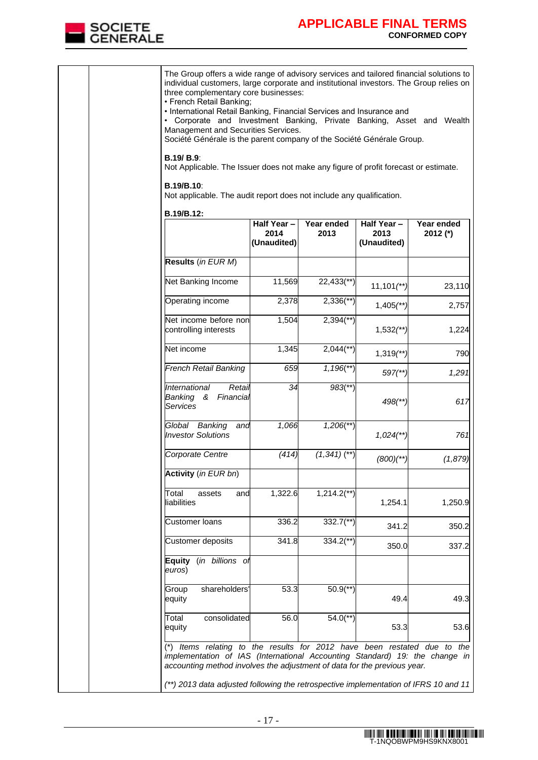

|                                                                                                                               | The Group offers a wide range of advisory services and tailored financial solutions to<br>individual customers, large corporate and institutional investors. The Group relies on<br>three complementary core businesses:<br>• French Retail Banking;<br>• International Retail Banking, Financial Services and Insurance and<br>• Corporate and Investment Banking, Private Banking, Asset and Wealth<br>Management and Securities Services.<br>Société Générale is the parent company of the Société Générale Group. |                           |                          |            |  |  |  |
|-------------------------------------------------------------------------------------------------------------------------------|-----------------------------------------------------------------------------------------------------------------------------------------------------------------------------------------------------------------------------------------------------------------------------------------------------------------------------------------------------------------------------------------------------------------------------------------------------------------------------------------------------------------------|---------------------------|--------------------------|------------|--|--|--|
| <b>B.19/ B.9:</b><br>Not Applicable. The Issuer does not make any figure of profit forecast or estimate.<br><b>B.19/B.10:</b> |                                                                                                                                                                                                                                                                                                                                                                                                                                                                                                                       |                           |                          |            |  |  |  |
| Not applicable. The audit report does not include any qualification.                                                          |                                                                                                                                                                                                                                                                                                                                                                                                                                                                                                                       |                           |                          |            |  |  |  |
| B.19/B.12:                                                                                                                    | $\overline{H}$ alf Year -                                                                                                                                                                                                                                                                                                                                                                                                                                                                                             | Year ended                | Half Year-               | Year ended |  |  |  |
|                                                                                                                               | 2014<br>(Unaudited)                                                                                                                                                                                                                                                                                                                                                                                                                                                                                                   | 2013                      | 2013<br>(Unaudited)      | 2012 (*)   |  |  |  |
| Results (in EUR M)                                                                                                            |                                                                                                                                                                                                                                                                                                                                                                                                                                                                                                                       |                           |                          |            |  |  |  |
| Net Banking Income                                                                                                            | 11,569                                                                                                                                                                                                                                                                                                                                                                                                                                                                                                                | $22,433$ <sup>(**)</sup>  | $11,101$ <sup>**</sup> ) | 23,110     |  |  |  |
| Operating income                                                                                                              | 2,378                                                                                                                                                                                                                                                                                                                                                                                                                                                                                                                 | $2,336$ <sup>**</sup> )   | $1,405$ <sup>**</sup> )  | 2,757      |  |  |  |
| Net income before non<br>controlling interests                                                                                | 1,504                                                                                                                                                                                                                                                                                                                                                                                                                                                                                                                 | $2,394$ <sup>**</sup> )   | $1,532$ <sup>**</sup> )  | 1,224      |  |  |  |
| Net income                                                                                                                    | 1,345                                                                                                                                                                                                                                                                                                                                                                                                                                                                                                                 | $2,044$ <sup>**</sup> )   | $1,319$ <sup>**</sup> )  | 790        |  |  |  |
| <b>French Retail Banking</b>                                                                                                  | 659                                                                                                                                                                                                                                                                                                                                                                                                                                                                                                                   | $1,196$ <sup>**</sup> )   | $597$ <sup>**</sup> )    | 1,291      |  |  |  |
| International<br>Retai<br>Financial<br>Banking &<br><b>Services</b>                                                           | 34                                                                                                                                                                                                                                                                                                                                                                                                                                                                                                                    | $983$ <sup>**</sup> )     | 498(**)                  | 617        |  |  |  |
| Global Banking<br>and<br><b>Investor Solutions</b>                                                                            | 1,066                                                                                                                                                                                                                                                                                                                                                                                                                                                                                                                 | $1,206$ <sup>**</sup> )   | $1,024$ <sup>**</sup>    | 761        |  |  |  |
| Corporate Centre                                                                                                              | (414)                                                                                                                                                                                                                                                                                                                                                                                                                                                                                                                 | $(1,341)$ (**)            | $(800)(**)$              | (1,879)    |  |  |  |
| Activity (in EUR bn)                                                                                                          |                                                                                                                                                                                                                                                                                                                                                                                                                                                                                                                       |                           |                          |            |  |  |  |
| Total<br>assets<br>and<br>liabilities                                                                                         | 1,322.6                                                                                                                                                                                                                                                                                                                                                                                                                                                                                                               | $1,214.2$ <sup>**</sup> ) | 1,254.1                  | 1,250.9    |  |  |  |
| <b>Customer loans</b>                                                                                                         | 336.2                                                                                                                                                                                                                                                                                                                                                                                                                                                                                                                 | $332.7$ <sup>**</sup> )   | 341.2                    | 350.2      |  |  |  |
| <b>Customer deposits</b>                                                                                                      | 341.8                                                                                                                                                                                                                                                                                                                                                                                                                                                                                                                 | $334.2$ <sup>**</sup> )   | 350.0                    | 337.2      |  |  |  |
| <b>Equity</b><br>euros)                                                                                                       | (in billions of                                                                                                                                                                                                                                                                                                                                                                                                                                                                                                       |                           |                          |            |  |  |  |
| shareholders'<br>Group<br>equity                                                                                              | 53.3                                                                                                                                                                                                                                                                                                                                                                                                                                                                                                                  | $50.9$ <sup>**</sup> )    | 49.4                     | 49.3       |  |  |  |
| consolidated<br>Total<br>equity                                                                                               | 56.0                                                                                                                                                                                                                                                                                                                                                                                                                                                                                                                  | $54.0$ <sup>**</sup> )    | 53.3                     | 53.6       |  |  |  |
|                                                                                                                               | (*) Items relating to the results for 2012 have been restated due to the<br>implementation of IAS (International Accounting Standard) 19: the change in<br>accounting method involves the adjustment of data for the previous year.<br>(**) 2013 data adjusted following the retrospective implementation of IFRS 10 and 11                                                                                                                                                                                           |                           |                          |            |  |  |  |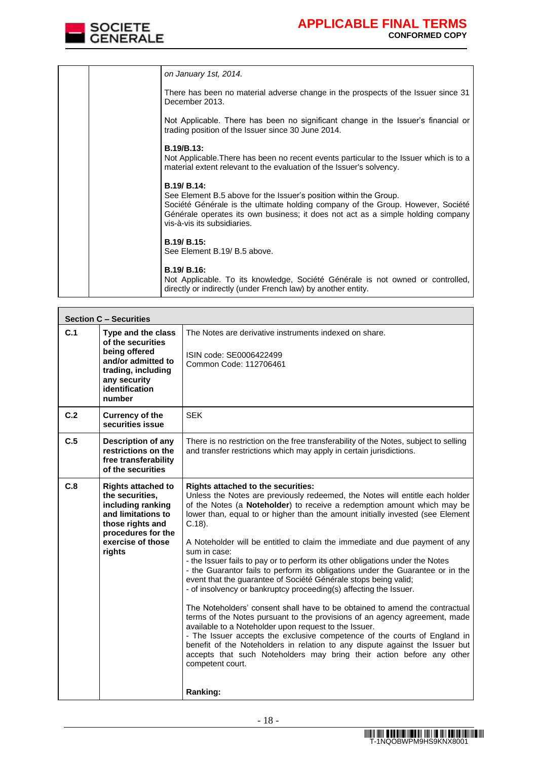

|  | on January 1st, 2014.                                                                                                                                                                                                                                                                 |
|--|---------------------------------------------------------------------------------------------------------------------------------------------------------------------------------------------------------------------------------------------------------------------------------------|
|  | There has been no material adverse change in the prospects of the Issuer since 31<br>December 2013.                                                                                                                                                                                   |
|  | Not Applicable. There has been no significant change in the Issuer's financial or<br>trading position of the Issuer since 30 June 2014.                                                                                                                                               |
|  | <b>B.19/B.13:</b>                                                                                                                                                                                                                                                                     |
|  | Not Applicable. There has been no recent events particular to the Issuer which is to a<br>material extent relevant to the evaluation of the Issuer's solvency.                                                                                                                        |
|  | B.19/ B.14:<br>See Element B.5 above for the Issuer's position within the Group.<br>Société Générale is the ultimate holding company of the Group. However, Société<br>Générale operates its own business; it does not act as a simple holding company<br>vis-à-vis its subsidiaries. |
|  | <b>B.19/ B.15:</b>                                                                                                                                                                                                                                                                    |
|  | See Element B.19/ B.5 above.                                                                                                                                                                                                                                                          |
|  | B.19/ B.16:<br>Not Applicable. To its knowledge, Société Générale is not owned or controlled,<br>directly or indirectly (under French law) by another entity.                                                                                                                         |

|     | <b>Section C - Securities</b>                                                                                                                                    |                                                                                                                                                                                                                                                                                                                                                                                                                                                                                                                                                                                                                                                                                                                                                                                                                                                                                                                                                                                                                                                                                                                                                                                                    |  |  |  |  |
|-----|------------------------------------------------------------------------------------------------------------------------------------------------------------------|----------------------------------------------------------------------------------------------------------------------------------------------------------------------------------------------------------------------------------------------------------------------------------------------------------------------------------------------------------------------------------------------------------------------------------------------------------------------------------------------------------------------------------------------------------------------------------------------------------------------------------------------------------------------------------------------------------------------------------------------------------------------------------------------------------------------------------------------------------------------------------------------------------------------------------------------------------------------------------------------------------------------------------------------------------------------------------------------------------------------------------------------------------------------------------------------------|--|--|--|--|
| C.1 | Type and the class<br>of the securities<br>being offered<br>and/or admitted to<br>trading, including<br>any security<br>identification<br>number                 | The Notes are derivative instruments indexed on share.<br>ISIN code: SE0006422499<br>Common Code: 112706461                                                                                                                                                                                                                                                                                                                                                                                                                                                                                                                                                                                                                                                                                                                                                                                                                                                                                                                                                                                                                                                                                        |  |  |  |  |
| C.2 | <b>Currency of the</b><br>securities issue                                                                                                                       | <b>SEK</b>                                                                                                                                                                                                                                                                                                                                                                                                                                                                                                                                                                                                                                                                                                                                                                                                                                                                                                                                                                                                                                                                                                                                                                                         |  |  |  |  |
| C.5 | <b>Description of any</b><br>restrictions on the<br>free transferability<br>of the securities                                                                    | There is no restriction on the free transferability of the Notes, subject to selling<br>and transfer restrictions which may apply in certain jurisdictions.                                                                                                                                                                                                                                                                                                                                                                                                                                                                                                                                                                                                                                                                                                                                                                                                                                                                                                                                                                                                                                        |  |  |  |  |
| C.8 | <b>Rights attached to</b><br>the securities,<br>including ranking<br>and limitations to<br>those rights and<br>procedures for the<br>exercise of those<br>rights | Rights attached to the securities:<br>Unless the Notes are previously redeemed, the Notes will entitle each holder<br>of the Notes (a Noteholder) to receive a redemption amount which may be<br>lower than, equal to or higher than the amount initially invested (see Element<br>$C.18$ ).<br>A Noteholder will be entitled to claim the immediate and due payment of any<br>sum in case:<br>- the Issuer fails to pay or to perform its other obligations under the Notes<br>- the Guarantor fails to perform its obligations under the Guarantee or in the<br>event that the guarantee of Société Générale stops being valid;<br>- of insolvency or bankruptcy proceeding(s) affecting the Issuer.<br>The Noteholders' consent shall have to be obtained to amend the contractual<br>terms of the Notes pursuant to the provisions of an agency agreement, made<br>available to a Noteholder upon request to the Issuer.<br>- The Issuer accepts the exclusive competence of the courts of England in<br>benefit of the Noteholders in relation to any dispute against the Issuer but<br>accepts that such Noteholders may bring their action before any other<br>competent court.<br>Ranking: |  |  |  |  |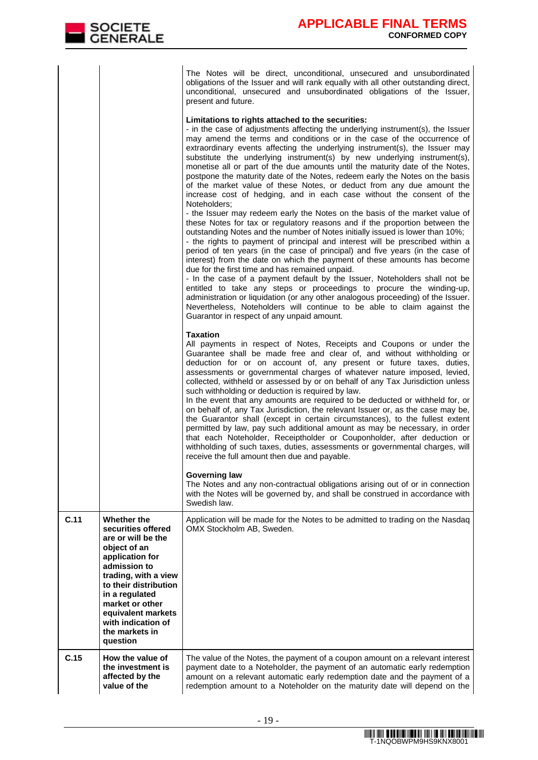|                     |  |  | The Notes will be direct, unconditional, unsecured and unsubordinated              |  |  |  |
|---------------------|--|--|------------------------------------------------------------------------------------|--|--|--|
|                     |  |  | obligations of the Issuer and will rank equally with all other outstanding direct, |  |  |  |
|                     |  |  | unconditional, unsecured and unsubordinated obligations of the Issuer,             |  |  |  |
| present and future. |  |  |                                                                                    |  |  |  |

### **Limitations to rights attached to the securities:**

|      |                                                                                                                                                                                                                                                                            | - in the case of adjustments affecting the underlying instrument(s), the Issuer<br>may amend the terms and conditions or in the case of the occurrence of<br>extraordinary events affecting the underlying instrument(s), the Issuer may<br>substitute the underlying instrument(s) by new underlying instrument(s),<br>monetise all or part of the due amounts until the maturity date of the Notes,<br>postpone the maturity date of the Notes, redeem early the Notes on the basis<br>of the market value of these Notes, or deduct from any due amount the<br>increase cost of hedging, and in each case without the consent of the<br>Noteholders;<br>- the Issuer may redeem early the Notes on the basis of the market value of<br>these Notes for tax or regulatory reasons and if the proportion between the<br>outstanding Notes and the number of Notes initially issued is lower than 10%;<br>- the rights to payment of principal and interest will be prescribed within a<br>period of ten years (in the case of principal) and five years (in the case of<br>interest) from the date on which the payment of these amounts has become<br>due for the first time and has remained unpaid.<br>- In the case of a payment default by the Issuer, Noteholders shall not be<br>entitled to take any steps or proceedings to procure the winding-up,<br>administration or liquidation (or any other analogous proceeding) of the Issuer.<br>Nevertheless, Noteholders will continue to be able to claim against the<br>Guarantor in respect of any unpaid amount. |
|------|----------------------------------------------------------------------------------------------------------------------------------------------------------------------------------------------------------------------------------------------------------------------------|----------------------------------------------------------------------------------------------------------------------------------------------------------------------------------------------------------------------------------------------------------------------------------------------------------------------------------------------------------------------------------------------------------------------------------------------------------------------------------------------------------------------------------------------------------------------------------------------------------------------------------------------------------------------------------------------------------------------------------------------------------------------------------------------------------------------------------------------------------------------------------------------------------------------------------------------------------------------------------------------------------------------------------------------------------------------------------------------------------------------------------------------------------------------------------------------------------------------------------------------------------------------------------------------------------------------------------------------------------------------------------------------------------------------------------------------------------------------------------------------------------------------------------------------------------------------------|
|      |                                                                                                                                                                                                                                                                            | <b>Taxation</b><br>All payments in respect of Notes, Receipts and Coupons or under the<br>Guarantee shall be made free and clear of, and without withholding or<br>deduction for or on account of, any present or future taxes, duties,<br>assessments or governmental charges of whatever nature imposed, levied,<br>collected, withheld or assessed by or on behalf of any Tax Jurisdiction unless<br>such withholding or deduction is required by law.<br>In the event that any amounts are required to be deducted or withheld for, or<br>on behalf of, any Tax Jurisdiction, the relevant Issuer or, as the case may be,<br>the Guarantor shall (except in certain circumstances), to the fullest extent<br>permitted by law, pay such additional amount as may be necessary, in order<br>that each Noteholder, Receiptholder or Couponholder, after deduction or<br>withholding of such taxes, duties, assessments or governmental charges, will<br>receive the full amount then due and payable.<br><b>Governing law</b><br>The Notes and any non-contractual obligations arising out of or in connection<br>with the Notes will be governed by, and shall be construed in accordance with<br>Swedish law.                                                                                                                                                                                                                                                                                                                                                          |
| C.11 | Whether the<br>securities offered<br>are or will be the<br>object of an<br>application for<br>admission to<br>trading, with a view<br>to their distribution<br>in a regulated<br>market or other<br>equivalent markets<br>with indication of<br>the markets in<br>question | Application will be made for the Notes to be admitted to trading on the Nasdaq<br>OMX Stockholm AB, Sweden.                                                                                                                                                                                                                                                                                                                                                                                                                                                                                                                                                                                                                                                                                                                                                                                                                                                                                                                                                                                                                                                                                                                                                                                                                                                                                                                                                                                                                                                                |
| C.15 | How the value of<br>the investment is<br>affected by the<br>value of the                                                                                                                                                                                                   | The value of the Notes, the payment of a coupon amount on a relevant interest<br>payment date to a Noteholder, the payment of an automatic early redemption<br>amount on a relevant automatic early redemption date and the payment of a<br>redemption amount to a Noteholder on the maturity date will depend on the                                                                                                                                                                                                                                                                                                                                                                                                                                                                                                                                                                                                                                                                                                                                                                                                                                                                                                                                                                                                                                                                                                                                                                                                                                                      |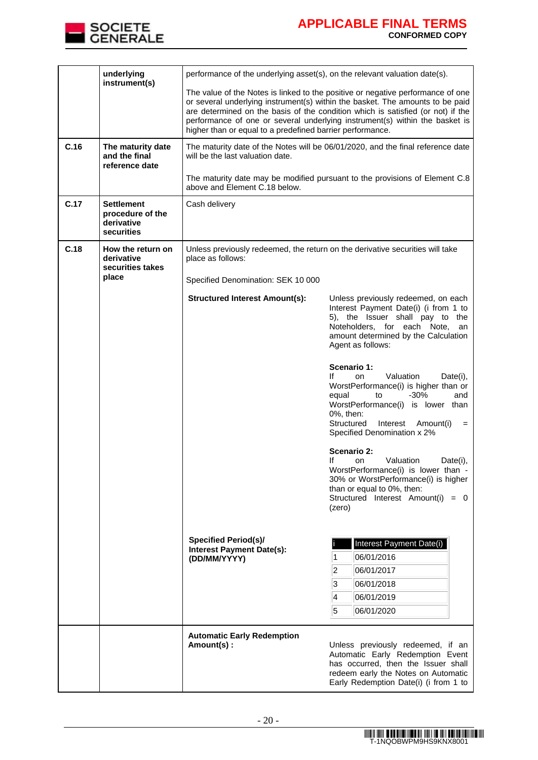

|      | underlying<br>instrument(s)                                | performance of the underlying asset(s), on the relevant valuation date(s).                                                                                                                                                                                                                                                                                                                      |                                                                                                                                                                                                                                                           |  |  |  |
|------|------------------------------------------------------------|-------------------------------------------------------------------------------------------------------------------------------------------------------------------------------------------------------------------------------------------------------------------------------------------------------------------------------------------------------------------------------------------------|-----------------------------------------------------------------------------------------------------------------------------------------------------------------------------------------------------------------------------------------------------------|--|--|--|
|      |                                                            | The value of the Notes is linked to the positive or negative performance of one<br>or several underlying instrument(s) within the basket. The amounts to be paid<br>are determined on the basis of the condition which is satisfied (or not) if the<br>performance of one or several underlying instrument(s) within the basket is<br>higher than or equal to a predefined barrier performance. |                                                                                                                                                                                                                                                           |  |  |  |
| C.16 | The maturity date<br>and the final<br>reference date       | will be the last valuation date.                                                                                                                                                                                                                                                                                                                                                                | The maturity date of the Notes will be 06/01/2020, and the final reference date                                                                                                                                                                           |  |  |  |
|      |                                                            | above and Element C.18 below.                                                                                                                                                                                                                                                                                                                                                                   | The maturity date may be modified pursuant to the provisions of Element C.8                                                                                                                                                                               |  |  |  |
| C.17 | Settlement<br>procedure of the<br>derivative<br>securities | Cash delivery                                                                                                                                                                                                                                                                                                                                                                                   |                                                                                                                                                                                                                                                           |  |  |  |
| C.18 | How the return on<br>derivative<br>securities takes        | Unless previously redeemed, the return on the derivative securities will take<br>place as follows:                                                                                                                                                                                                                                                                                              |                                                                                                                                                                                                                                                           |  |  |  |
|      | place                                                      | Specified Denomination: SEK 10 000                                                                                                                                                                                                                                                                                                                                                              |                                                                                                                                                                                                                                                           |  |  |  |
|      |                                                            | <b>Structured Interest Amount(s):</b>                                                                                                                                                                                                                                                                                                                                                           | Unless previously redeemed, on each<br>Interest Payment Date(i) (i from 1 to<br>5), the Issuer shall pay to the<br>Noteholders, for each Note,<br>an<br>amount determined by the Calculation<br>Agent as follows:                                         |  |  |  |
|      |                                                            |                                                                                                                                                                                                                                                                                                                                                                                                 | Scenario 1:<br>on<br>Valuation<br>lf.<br>Date(i),<br>WorstPerformance(i) is higher than or<br>$-30%$<br>equal<br>to<br>and<br>WorstPerformance(i) is lower than<br>0%, then:<br>Structured<br>Interest<br>Amount(i)<br>$=$<br>Specified Denomination x 2% |  |  |  |
|      |                                                            |                                                                                                                                                                                                                                                                                                                                                                                                 | Scenario 2:<br>If<br>Valuation<br>Date(i),<br><b>on</b><br>WorstPerformance(i) is lower than -<br>30% or WorstPerformance(i) is higher<br>than or equal to 0%, then:<br>Structured Interest Amount(i) = 0<br>(zero)                                       |  |  |  |
|      |                                                            | <b>Specified Period(s)/</b><br><b>Interest Payment Date(s):</b><br>(DD/MM/YYYY)                                                                                                                                                                                                                                                                                                                 | Interest Payment Date(i)<br>06/01/2016<br>2<br>06/01/2017<br>3<br>06/01/2018<br>4<br>06/01/2019<br>5<br>06/01/2020                                                                                                                                        |  |  |  |
|      |                                                            | <b>Automatic Early Redemption</b><br>Amount(s):                                                                                                                                                                                                                                                                                                                                                 | Unless previously redeemed, if an<br>Automatic Early Redemption Event<br>has occurred, then the Issuer shall<br>redeem early the Notes on Automatic<br>Early Redemption Date(i) (i from 1 to                                                              |  |  |  |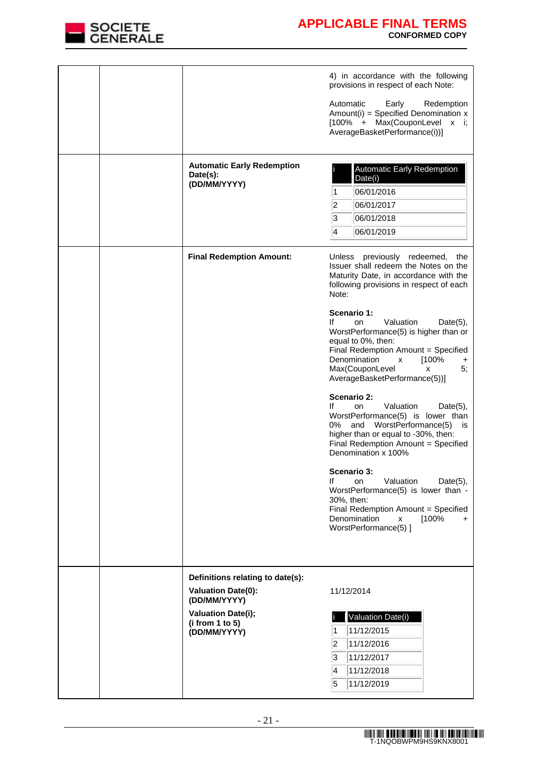

|  |                                                                              | 4) in accordance with the following<br>provisions in respect of each Note:                                                                                                                                                                                         |
|--|------------------------------------------------------------------------------|--------------------------------------------------------------------------------------------------------------------------------------------------------------------------------------------------------------------------------------------------------------------|
|  |                                                                              | Automatic<br>Early<br>Redemption<br>Amount(i) = Specified Denomination $x$<br>[100% + Max(CouponLevel x i;<br>AverageBasketPerformance(i))]                                                                                                                        |
|  | <b>Automatic Early Redemption</b><br>Date(s):<br>(DD/MM/YYYY)                | <b>Automatic Early Redemption</b><br>Date(i)<br>06/01/2016<br>1<br>2<br>06/01/2017<br>3<br>06/01/2018<br>14<br>06/01/2019                                                                                                                                          |
|  | <b>Final Redemption Amount:</b>                                              | Unless previously redeemed,<br>the<br>Issuer shall redeem the Notes on the<br>Maturity Date, in accordance with the<br>following provisions in respect of each<br>Note:                                                                                            |
|  |                                                                              | Scenario 1:<br>Valuation<br>lf<br><b>on</b><br>$Date(5)$ ,<br>WorstPerformance(5) is higher than or<br>equal to 0%, then:<br>Final Redemption Amount = Specified<br>Denomination<br>[100%<br>X<br>+<br>Max(CouponLevel<br>5;<br>X<br>AverageBasketPerformance(5))] |
|  |                                                                              | Scenario 2:<br>Valuation<br>lf<br><b>on</b><br>$Date(5)$ ,<br>WorstPerformance(5) is lower than<br>0% and WorstPerformance(5)<br>is<br>higher than or equal to -30%, then:<br>Final Redemption Amount = Specified<br>Denomination x 100%                           |
|  |                                                                              | Scenario 3:<br>lf<br>Valuation<br><b>on</b><br>Date $(5)$ ,<br>WorstPerformance(5) is lower than -<br>30%, then:<br>Final Redemption Amount = Specified<br>Denomination<br>[100%<br>x<br>$+$<br>WorstPerformance(5) ]                                              |
|  | Definitions relating to date(s):<br><b>Valuation Date(0):</b>                | 11/12/2014                                                                                                                                                                                                                                                         |
|  | (DD/MM/YYYY)<br><b>Valuation Date(i);</b><br>(i from 1 to 5)<br>(DD/MM/YYYY) | Valuation Date(i)<br>11/12/2015<br>1<br>2<br>11/12/2016<br>3<br>11/12/2017<br>4<br>11/12/2018<br>5<br>11/12/2019                                                                                                                                                   |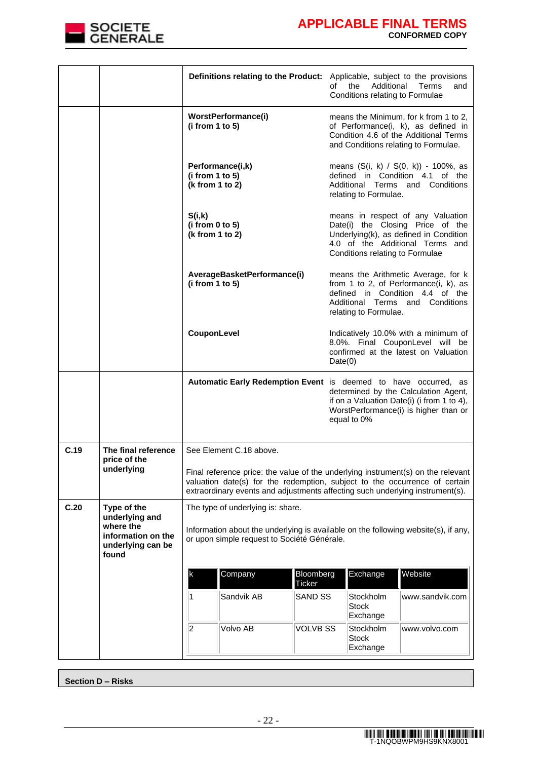

|      |                                                                                                | Definitions relating to the Product: Applicable, subject to the provisions                                                                                                                                                                      |                 | of the<br>Conditions relating to Formulae                                                                                                                                                                     | Additional Terms<br>and                                                                                                                                       |  |
|------|------------------------------------------------------------------------------------------------|-------------------------------------------------------------------------------------------------------------------------------------------------------------------------------------------------------------------------------------------------|-----------------|---------------------------------------------------------------------------------------------------------------------------------------------------------------------------------------------------------------|---------------------------------------------------------------------------------------------------------------------------------------------------------------|--|
|      |                                                                                                | WorstPerformance(i)<br>(i from 1 to 5)                                                                                                                                                                                                          |                 |                                                                                                                                                                                                               | means the Minimum, for k from 1 to 2,<br>of Performance(i, k), as defined in<br>Condition 4.6 of the Additional Terms<br>and Conditions relating to Formulae. |  |
|      |                                                                                                | Performance(i,k)<br>(i from 1 to 5)<br>(k from 1 to 2)                                                                                                                                                                                          |                 | relating to Formulae.                                                                                                                                                                                         | means (S(i, k) / S(0, k)) - 100%, as<br>defined in Condition 4.1 of the<br>Additional Terms and Conditions                                                    |  |
|      |                                                                                                | S(i,k)<br>(i from 0 to 5)<br>(k from 1 to 2)                                                                                                                                                                                                    |                 | means in respect of any Valuation<br>Date(i) the Closing Price of the<br>Underlying(k), as defined in Condition<br>4.0 of the Additional Terms and<br>Conditions relating to Formulae                         |                                                                                                                                                               |  |
|      |                                                                                                | AverageBasketPerformance(i)<br>(i from 1 to 5)                                                                                                                                                                                                  |                 | means the Arithmetic Average, for k<br>from 1 to 2, of Performance(i, k), as<br>defined in Condition 4.4 of the<br>Additional Terms and Conditions<br>relating to Formulae.                                   |                                                                                                                                                               |  |
|      |                                                                                                | CouponLevel                                                                                                                                                                                                                                     |                 | Indicatively 10.0% with a minimum of<br>8.0%. Final CouponLevel will be<br>confirmed at the latest on Valuation<br>Date(0)                                                                                    |                                                                                                                                                               |  |
|      |                                                                                                |                                                                                                                                                                                                                                                 |                 | Automatic Early Redemption Event is deemed to have occurred, as<br>determined by the Calculation Agent,<br>if on a Valuation Date(i) (i from 1 to 4),<br>WorstPerformance(i) is higher than or<br>equal to 0% |                                                                                                                                                               |  |
| C.19 | The final reference                                                                            | See Element C.18 above.                                                                                                                                                                                                                         |                 |                                                                                                                                                                                                               |                                                                                                                                                               |  |
|      | price of the<br>underlying                                                                     | Final reference price: the value of the underlying instrument(s) on the relevant<br>valuation date(s) for the redemption, subject to the occurrence of certain<br>extraordinary events and adjustments affecting such underlying instrument(s). |                 |                                                                                                                                                                                                               |                                                                                                                                                               |  |
| C.20 | Type of the<br>underlying and<br>where the<br>information on the<br>underlying can be<br>found | The type of underlying is: share.<br>Information about the underlying is available on the following website(s), if any,<br>or upon simple request to Société Générale.                                                                          |                 |                                                                                                                                                                                                               |                                                                                                                                                               |  |
|      |                                                                                                | Company<br>K<br><b>Ticker</b>                                                                                                                                                                                                                   | Bloomberg       | Exchange                                                                                                                                                                                                      | Website                                                                                                                                                       |  |
|      |                                                                                                | Sandvik AB<br>1                                                                                                                                                                                                                                 | <b>SAND SS</b>  | Stockholm<br><b>Stock</b><br>Exchange                                                                                                                                                                         | www.sandvik.com                                                                                                                                               |  |
|      |                                                                                                | 2<br>Volvo AB                                                                                                                                                                                                                                   | <b>VOLVB SS</b> | Stockholm<br><b>Stock</b><br>Exchange                                                                                                                                                                         | www.volvo.com                                                                                                                                                 |  |

**Section D – Risks**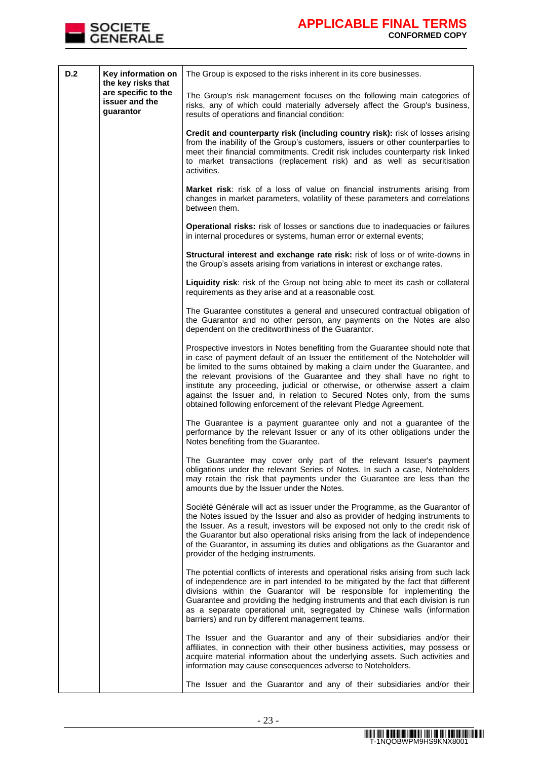

| D.2 | Key information on<br>the key risks that<br>are specific to the<br>issuer and the<br>guarantor | The Group is exposed to the risks inherent in its core businesses.                                                                                                                                                                                                                                                                                                                                                                                                                                                                                        |
|-----|------------------------------------------------------------------------------------------------|-----------------------------------------------------------------------------------------------------------------------------------------------------------------------------------------------------------------------------------------------------------------------------------------------------------------------------------------------------------------------------------------------------------------------------------------------------------------------------------------------------------------------------------------------------------|
|     |                                                                                                | The Group's risk management focuses on the following main categories of<br>risks, any of which could materially adversely affect the Group's business,<br>results of operations and financial condition:                                                                                                                                                                                                                                                                                                                                                  |
|     |                                                                                                | Credit and counterparty risk (including country risk): risk of losses arising<br>from the inability of the Group's customers, issuers or other counterparties to<br>meet their financial commitments. Credit risk includes counterparty risk linked<br>to market transactions (replacement risk) and as well as securitisation<br>activities.                                                                                                                                                                                                             |
|     |                                                                                                | Market risk: risk of a loss of value on financial instruments arising from<br>changes in market parameters, volatility of these parameters and correlations<br>between them.                                                                                                                                                                                                                                                                                                                                                                              |
|     |                                                                                                | Operational risks: risk of losses or sanctions due to inadequacies or failures<br>in internal procedures or systems, human error or external events;                                                                                                                                                                                                                                                                                                                                                                                                      |
|     |                                                                                                | Structural interest and exchange rate risk: risk of loss or of write-downs in<br>the Group's assets arising from variations in interest or exchange rates.                                                                                                                                                                                                                                                                                                                                                                                                |
|     |                                                                                                | Liquidity risk: risk of the Group not being able to meet its cash or collateral<br>requirements as they arise and at a reasonable cost.                                                                                                                                                                                                                                                                                                                                                                                                                   |
|     |                                                                                                | The Guarantee constitutes a general and unsecured contractual obligation of<br>the Guarantor and no other person, any payments on the Notes are also<br>dependent on the creditworthiness of the Guarantor.                                                                                                                                                                                                                                                                                                                                               |
|     |                                                                                                | Prospective investors in Notes benefiting from the Guarantee should note that<br>in case of payment default of an Issuer the entitlement of the Noteholder will<br>be limited to the sums obtained by making a claim under the Guarantee, and<br>the relevant provisions of the Guarantee and they shall have no right to<br>institute any proceeding, judicial or otherwise, or otherwise assert a claim<br>against the Issuer and, in relation to Secured Notes only, from the sums<br>obtained following enforcement of the relevant Pledge Agreement. |
|     |                                                                                                | The Guarantee is a payment guarantee only and not a guarantee of the<br>performance by the relevant Issuer or any of its other obligations under the<br>Notes benefiting from the Guarantee.                                                                                                                                                                                                                                                                                                                                                              |
|     |                                                                                                | The Guarantee may cover only part of the relevant Issuer's payment<br>obligations under the relevant Series of Notes. In such a case, Noteholders<br>may retain the risk that payments under the Guarantee are less than the<br>amounts due by the Issuer under the Notes.                                                                                                                                                                                                                                                                                |
|     |                                                                                                | Société Générale will act as issuer under the Programme, as the Guarantor of<br>the Notes issued by the Issuer and also as provider of hedging instruments to<br>the Issuer. As a result, investors will be exposed not only to the credit risk of<br>the Guarantor but also operational risks arising from the lack of independence<br>of the Guarantor, in assuming its duties and obligations as the Guarantor and<br>provider of the hedging instruments.                                                                                             |
|     |                                                                                                | The potential conflicts of interests and operational risks arising from such lack<br>of independence are in part intended to be mitigated by the fact that different<br>divisions within the Guarantor will be responsible for implementing the<br>Guarantee and providing the hedging instruments and that each division is run<br>as a separate operational unit, segregated by Chinese walls (information<br>barriers) and run by different management teams.                                                                                          |
|     |                                                                                                | The Issuer and the Guarantor and any of their subsidiaries and/or their<br>affiliates, in connection with their other business activities, may possess or<br>acquire material information about the underlying assets. Such activities and<br>information may cause consequences adverse to Noteholders.                                                                                                                                                                                                                                                  |
|     |                                                                                                | The Issuer and the Guarantor and any of their subsidiaries and/or their                                                                                                                                                                                                                                                                                                                                                                                                                                                                                   |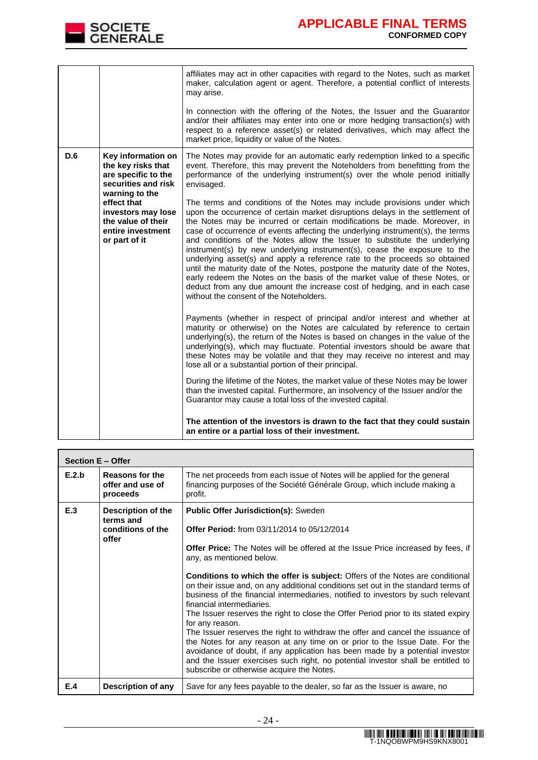

|     |                                                                                                                                                                                                           | affiliates may act in other capacities with regard to the Notes, such as market<br>maker, calculation agent or agent. Therefore, a potential conflict of interests<br>may arise.<br>In connection with the offering of the Notes, the Issuer and the Guarantor<br>and/or their affiliates may enter into one or more hedging transaction(s) with<br>respect to a reference asset(s) or related derivatives, which may affect the<br>market price, liquidity or value of the Notes.                                                                                                                                                                                                                                                                                                                                                                                                                                                                                                                                                                                                                                                                                                                                                                                                                                                                                                                                                                                                                                                                                                                                                                                                                                                                                                                                                                                                                                                                        |
|-----|-----------------------------------------------------------------------------------------------------------------------------------------------------------------------------------------------------------|-----------------------------------------------------------------------------------------------------------------------------------------------------------------------------------------------------------------------------------------------------------------------------------------------------------------------------------------------------------------------------------------------------------------------------------------------------------------------------------------------------------------------------------------------------------------------------------------------------------------------------------------------------------------------------------------------------------------------------------------------------------------------------------------------------------------------------------------------------------------------------------------------------------------------------------------------------------------------------------------------------------------------------------------------------------------------------------------------------------------------------------------------------------------------------------------------------------------------------------------------------------------------------------------------------------------------------------------------------------------------------------------------------------------------------------------------------------------------------------------------------------------------------------------------------------------------------------------------------------------------------------------------------------------------------------------------------------------------------------------------------------------------------------------------------------------------------------------------------------------------------------------------------------------------------------------------------------|
| D.6 | Key information on<br>the key risks that<br>are specific to the<br>securities and risk<br>warning to the<br>effect that<br>investors may lose<br>the value of their<br>entire investment<br>or part of it | The Notes may provide for an automatic early redemption linked to a specific<br>event. Therefore, this may prevent the Noteholders from benefitting from the<br>performance of the underlying instrument(s) over the whole period initially<br>envisaged.<br>The terms and conditions of the Notes may include provisions under which<br>upon the occurrence of certain market disruptions delays in the settlement of<br>the Notes may be incurred or certain modifications be made. Moreover, in<br>case of occurrence of events affecting the underlying instrument(s), the terms<br>and conditions of the Notes allow the Issuer to substitute the underlying<br>instrument(s) by new underlying instrument(s), cease the exposure to the<br>underlying asset(s) and apply a reference rate to the proceeds so obtained<br>until the maturity date of the Notes, postpone the maturity date of the Notes,<br>early redeem the Notes on the basis of the market value of these Notes, or<br>deduct from any due amount the increase cost of hedging, and in each case<br>without the consent of the Noteholders.<br>Payments (whether in respect of principal and/or interest and whether at<br>maturity or otherwise) on the Notes are calculated by reference to certain<br>underlying(s), the return of the Notes is based on changes in the value of the<br>underlying(s), which may fluctuate. Potential investors should be aware that<br>these Notes may be volatile and that they may receive no interest and may<br>lose all or a substantial portion of their principal.<br>During the lifetime of the Notes, the market value of these Notes may be lower<br>than the invested capital. Furthermore, an insolvency of the Issuer and/or the<br>Guarantor may cause a total loss of the invested capital.<br>The attention of the investors is drawn to the fact that they could sustain<br>an entire or a partial loss of their investment. |

| Section E - Offer |                                                               |                                                                                                                                                                                                                                                                                                                                                                                                                                                                                                                                                                                                                                                                                                                                                                                                                                                                                                                                                                                                          |
|-------------------|---------------------------------------------------------------|----------------------------------------------------------------------------------------------------------------------------------------------------------------------------------------------------------------------------------------------------------------------------------------------------------------------------------------------------------------------------------------------------------------------------------------------------------------------------------------------------------------------------------------------------------------------------------------------------------------------------------------------------------------------------------------------------------------------------------------------------------------------------------------------------------------------------------------------------------------------------------------------------------------------------------------------------------------------------------------------------------|
| E.2.b             | Reasons for the<br>offer and use of<br>proceeds               | The net proceeds from each issue of Notes will be applied for the general<br>financing purposes of the Société Générale Group, which include making a<br>profit.                                                                                                                                                                                                                                                                                                                                                                                                                                                                                                                                                                                                                                                                                                                                                                                                                                         |
| E.3               | Description of the<br>terms and<br>conditions of the<br>offer | <b>Public Offer Jurisdiction(s): Sweden</b><br>Offer Period: from 03/11/2014 to 05/12/2014<br><b>Offer Price:</b> The Notes will be offered at the Issue Price increased by fees, if<br>any, as mentioned below.<br><b>Conditions to which the offer is subject:</b> Offers of the Notes are conditional<br>on their issue and, on any additional conditions set out in the standard terms of<br>business of the financial intermediaries, notified to investors by such relevant<br>financial intermediaries.<br>The Issuer reserves the right to close the Offer Period prior to its stated expiry<br>for any reason.<br>The Issuer reserves the right to withdraw the offer and cancel the issuance of<br>the Notes for any reason at any time on or prior to the Issue Date. For the<br>avoidance of doubt, if any application has been made by a potential investor<br>and the Issuer exercises such right, no potential investor shall be entitled to<br>subscribe or otherwise acquire the Notes. |
| E.4               | Description of any                                            | Save for any fees payable to the dealer, so far as the Issuer is aware, no                                                                                                                                                                                                                                                                                                                                                                                                                                                                                                                                                                                                                                                                                                                                                                                                                                                                                                                               |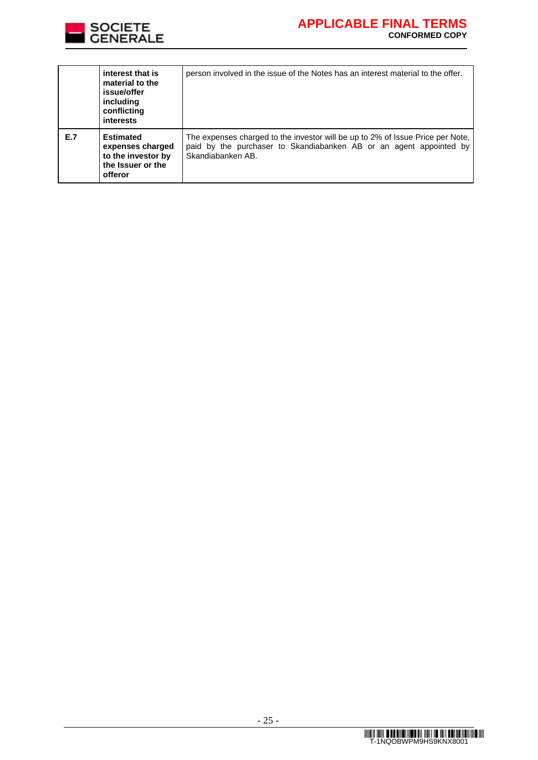

|     | interest that is<br>material to the<br>issue/offer<br>including<br>conflicting<br>interests | person involved in the issue of the Notes has an interest material to the offer.                                                                                          |
|-----|---------------------------------------------------------------------------------------------|---------------------------------------------------------------------------------------------------------------------------------------------------------------------------|
| E.7 | <b>Estimated</b><br>expenses charged<br>to the investor by<br>the Issuer or the<br>offeror  | The expenses charged to the investor will be up to 2% of Issue Price per Note,<br>paid by the purchaser to Skandiabanken AB or an agent appointed by<br>Skandiabanken AB. |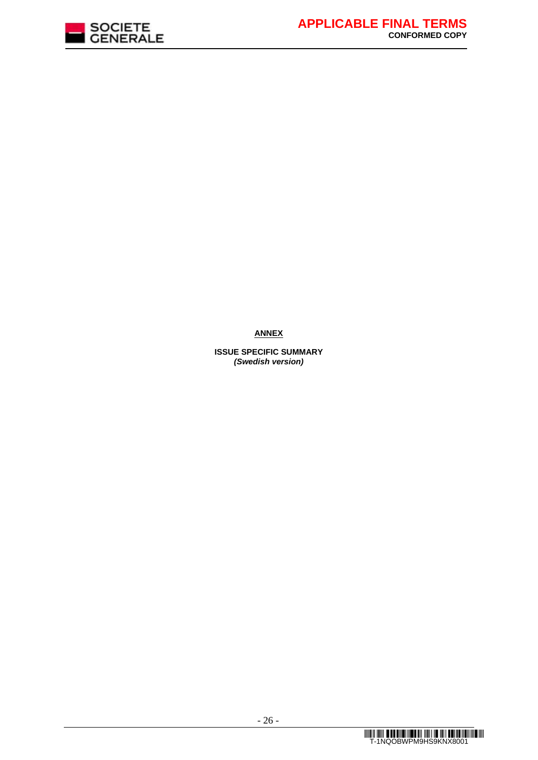

**ANNEX**

**ISSUE SPECIFIC SUMMARY** *(Swedish version)*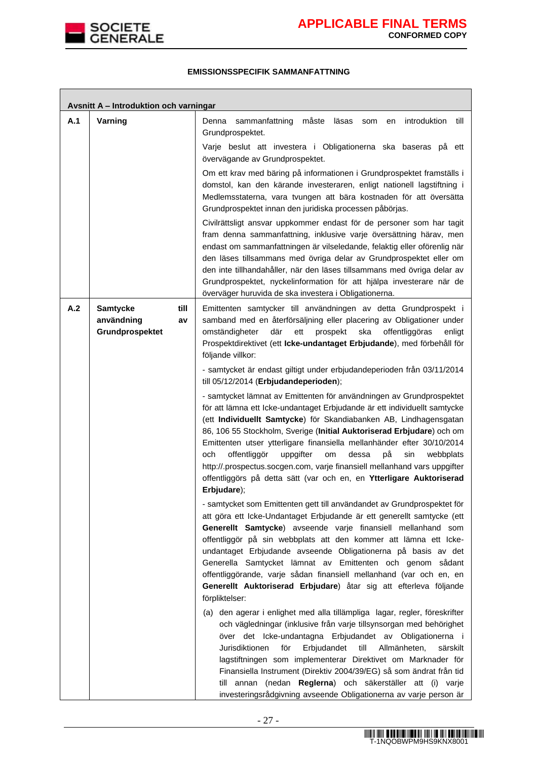

٦

### **EMISSIONSSPECIFIK SAMMANFATTNING**

| Avsnitt A - Introduktion och varningar |                                                                |                                                                                                                                                                                                                                                                                                                                                                                                                                                                                                                                                                                                                                                                 |  |  |
|----------------------------------------|----------------------------------------------------------------|-----------------------------------------------------------------------------------------------------------------------------------------------------------------------------------------------------------------------------------------------------------------------------------------------------------------------------------------------------------------------------------------------------------------------------------------------------------------------------------------------------------------------------------------------------------------------------------------------------------------------------------------------------------------|--|--|
| A.1                                    | Varning                                                        | måste<br>introduktion<br>Denna<br>sammanfattning<br>läsas<br>till<br>som<br>en<br>Grundprospektet.                                                                                                                                                                                                                                                                                                                                                                                                                                                                                                                                                              |  |  |
|                                        |                                                                | Varje beslut att investera i Obligationerna ska baseras på ett<br>övervägande av Grundprospektet.                                                                                                                                                                                                                                                                                                                                                                                                                                                                                                                                                               |  |  |
|                                        |                                                                | Om ett krav med bäring på informationen i Grundprospektet framställs i<br>domstol, kan den kärande investeraren, enligt nationell lagstiftning i<br>Medlemsstaterna, vara tvungen att bära kostnaden för att översätta<br>Grundprospektet innan den juridiska processen påbörjas.                                                                                                                                                                                                                                                                                                                                                                               |  |  |
|                                        |                                                                | Civilrättsligt ansvar uppkommer endast för de personer som har tagit<br>fram denna sammanfattning, inklusive varje översättning härav, men<br>endast om sammanfattningen är vilseledande, felaktig eller oförenlig när<br>den läses tillsammans med övriga delar av Grundprospektet eller om<br>den inte tillhandahåller, när den läses tillsammans med övriga delar av<br>Grundprospektet, nyckelinformation för att hjälpa investerare när de<br>överväger huruvida de ska investera i Obligationerna.                                                                                                                                                        |  |  |
| A.2                                    | <b>Samtycke</b><br>till<br>användning<br>av<br>Grundprospektet | Emittenten samtycker till användningen av detta Grundprospekt i<br>samband med en återförsäljning eller placering av Obligationer under<br>där<br>omständigheter<br>ett<br>prospekt<br>ska<br>offentliggöras<br>enligt<br>Prospektdirektivet (ett Icke-undantaget Erbjudande), med förbehåll för<br>följande villkor:                                                                                                                                                                                                                                                                                                                                           |  |  |
|                                        |                                                                | - samtycket är endast giltigt under erbjudandeperioden från 03/11/2014<br>till 05/12/2014 (Erbjudandeperioden);                                                                                                                                                                                                                                                                                                                                                                                                                                                                                                                                                 |  |  |
|                                        |                                                                | - samtycket lämnat av Emittenten för användningen av Grundprospektet<br>för att lämna ett Icke-undantaget Erbjudande är ett individuellt samtycke<br>(ett Individuellt Samtycke) för Skandiabanken AB, Lindhagensgatan<br>86, 106 55 Stockholm, Sverige (Initial Auktoriserad Erbjudare) och om<br>Emittenten utser ytterligare finansiella mellanhänder efter 30/10/2014<br>offentliggör<br>på<br>och<br>uppgifter<br>dessa<br>sin<br>om<br>webbplats<br>http://.prospectus.socgen.com, varje finansiell mellanhand vars uppgifter<br>offentliggörs på detta sätt (var och en, en Ytterligare Auktoriserad<br>Erbjudare);                                      |  |  |
|                                        |                                                                | - samtycket som Emittenten gett till användandet av Grundprospektet för<br>att göra ett Icke-Undantaget Erbjudande är ett generellt samtycke (ett<br>Generellt Samtycke) avseende varje finansiell mellanhand som<br>offentliggör på sin webbplats att den kommer att lämna ett Icke-<br>undantaget Erbjudande avseende Obligationerna på basis av det<br>Generella Samtycket lämnat av Emittenten och genom sådant<br>offentliggörande, varje sådan finansiell mellanhand (var och en, en<br>Generellt Auktoriserad Erbjudare) åtar sig att efterleva följande<br>förpliktelser:<br>(a) den agerar i enlighet med alla tillämpliga lagar, regler, föreskrifter |  |  |
|                                        |                                                                | och vägledningar (inklusive från varje tillsynsorgan med behörighet<br>över det Icke-undantagna Erbjudandet av Obligationerna i<br>Jurisdiktionen<br>för<br>Erbjudandet<br>till<br>Allmänheten,<br>särskilt<br>lagstiftningen som implementerar Direktivet om Marknader för<br>Finansiella Instrument (Direktiv 2004/39/EG) så som ändrat från tid<br>till annan (nedan Reglerna) och säkerställer att (i) varje<br>investeringsrådgivning avseende Obligationerna av varje person är                                                                                                                                                                           |  |  |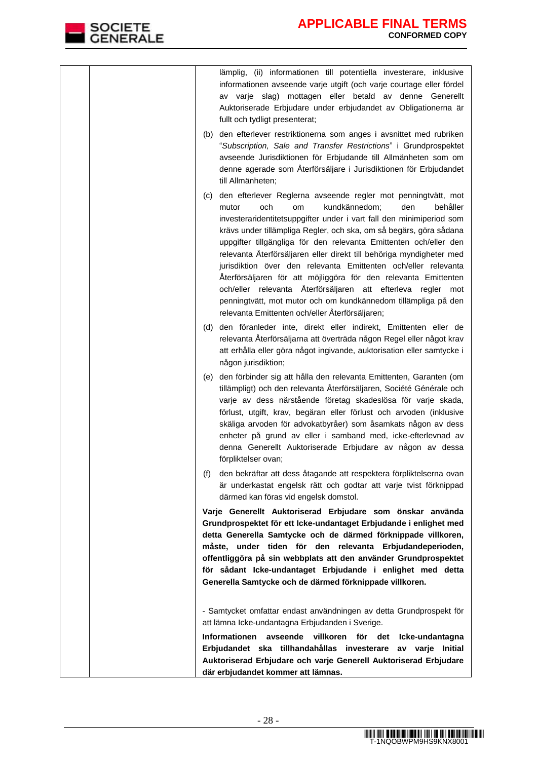| lämplig, (ii) informationen till potentiella investerare, inklusive<br>informationen avseende varje utgift (och varje courtage eller fördel<br>av varje slag) mottagen eller betald av denne Generellt<br>Auktoriserade Erbjudare under erbjudandet av Obligationerna är<br>fullt och tydligt presenterat;                                                                                                                                                                                                                                                                                                                                                                                                                                          |
|-----------------------------------------------------------------------------------------------------------------------------------------------------------------------------------------------------------------------------------------------------------------------------------------------------------------------------------------------------------------------------------------------------------------------------------------------------------------------------------------------------------------------------------------------------------------------------------------------------------------------------------------------------------------------------------------------------------------------------------------------------|
| (b) den efterlever restriktionerna som anges i avsnittet med rubriken<br>"Subscription, Sale and Transfer Restrictions" i Grundprospektet<br>avseende Jurisdiktionen för Erbjudande till Allmänheten som om<br>denne agerade som Återförsäljare i Jurisdiktionen för Erbjudandet<br>till Allmänheten;                                                                                                                                                                                                                                                                                                                                                                                                                                               |
| den efterlever Reglerna avseende regler mot penningtvätt, mot<br>(c)<br>kundkännedom;<br>och<br>den<br>behåller<br>mutor<br>om<br>investeraridentitetsuppgifter under i vart fall den minimiperiod som<br>krävs under tillämpliga Regler, och ska, om så begärs, göra sådana<br>uppgifter tillgängliga för den relevanta Emittenten och/eller den<br>relevanta Återförsäljaren eller direkt till behöriga myndigheter med<br>jurisdiktion över den relevanta Emittenten och/eller relevanta<br>Återförsäljaren för att möjliggöra för den relevanta Emittenten<br>och/eller relevanta Återförsäljaren att efterleva regler mot<br>penningtvätt, mot mutor och om kundkännedom tillämpliga på den<br>relevanta Emittenten och/eller Återförsäljaren; |
| (d) den föranleder inte, direkt eller indirekt, Emittenten eller de<br>relevanta Återförsäljarna att överträda någon Regel eller något krav<br>att erhålla eller göra något ingivande, auktorisation eller samtycke i<br>någon jurisdiktion;                                                                                                                                                                                                                                                                                                                                                                                                                                                                                                        |
| (e) den förbinder sig att hålla den relevanta Emittenten, Garanten (om<br>tillämpligt) och den relevanta Återförsäljaren, Société Générale och<br>varje av dess närstående företag skadeslösa för varje skada,<br>förlust, utgift, krav, begäran eller förlust och arvoden (inklusive<br>skäliga arvoden för advokatbyråer) som åsamkats någon av dess<br>enheter på grund av eller i samband med, icke-efterlevnad av<br>denna Generellt Auktoriserade Erbjudare av någon av dessa<br>förpliktelser ovan;                                                                                                                                                                                                                                          |
| den bekräftar att dess åtagande att respektera förpliktelserna ovan<br>(f)<br>är underkastat engelsk rätt och godtar att varje tvist förknippad<br>därmed kan föras vid engelsk domstol.                                                                                                                                                                                                                                                                                                                                                                                                                                                                                                                                                            |
| Varje Generellt Auktoriserad Erbjudare som önskar använda<br>Grundprospektet för ett Icke-undantaget Erbjudande i enlighet med<br>detta Generella Samtycke och de därmed förknippade villkoren,<br>måste, under tiden för den relevanta Erbjudandeperioden,<br>offentliggöra på sin webbplats att den använder Grundprospektet<br>för sådant Icke-undantaget Erbjudande i enlighet med detta<br>Generella Samtycke och de därmed förknippade villkoren.                                                                                                                                                                                                                                                                                             |
| - Samtycket omfattar endast användningen av detta Grundprospekt för<br>att lämna Icke-undantagna Erbjudanden i Sverige.                                                                                                                                                                                                                                                                                                                                                                                                                                                                                                                                                                                                                             |
| Informationen avseende villkoren för det Icke-undantagna<br>Erbjudandet ska tillhandahållas investerare av varje Initial<br>Auktoriserad Erbjudare och varje Generell Auktoriserad Erbjudare<br>där erbjudandet kommer att lämnas.                                                                                                                                                                                                                                                                                                                                                                                                                                                                                                                  |

SOCIETE<br>GENERALE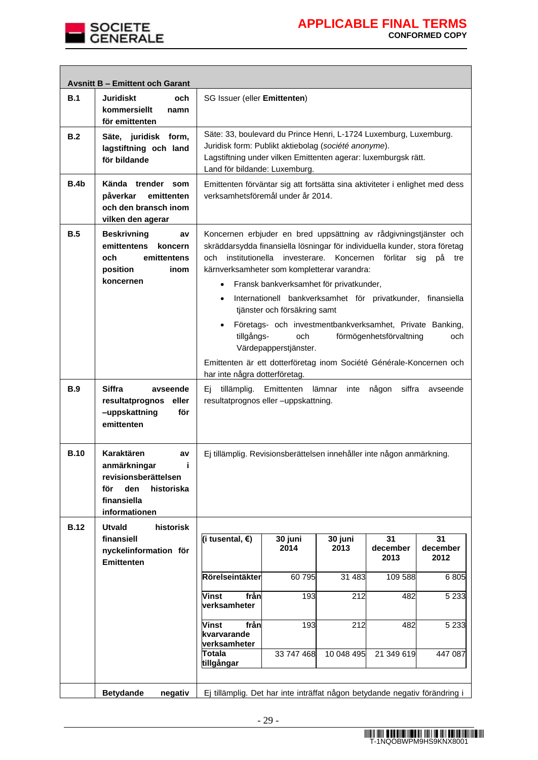

|             | <b>Avsnitt B - Emittent och Garant</b>                                                                                     |                                                                                                                                                                                                                                                                                               |                                                                                                                                                                                                                                                                                                                                                                                        |                 |                        |                        |  |
|-------------|----------------------------------------------------------------------------------------------------------------------------|-----------------------------------------------------------------------------------------------------------------------------------------------------------------------------------------------------------------------------------------------------------------------------------------------|----------------------------------------------------------------------------------------------------------------------------------------------------------------------------------------------------------------------------------------------------------------------------------------------------------------------------------------------------------------------------------------|-----------------|------------------------|------------------------|--|
| B.1         | <b>Juridiskt</b><br>och<br>kommersiellt<br>namn<br>för emittenten                                                          | SG Issuer (eller Emittenten)                                                                                                                                                                                                                                                                  |                                                                                                                                                                                                                                                                                                                                                                                        |                 |                        |                        |  |
| B.2         | Säte, juridisk form,<br>lagstiftning och land<br>för bildande                                                              | Säte: 33, boulevard du Prince Henri, L-1724 Luxemburg, Luxemburg.<br>Juridisk form: Publikt aktiebolag (société anonyme).<br>Lagstiftning under vilken Emittenten agerar: luxemburgsk rätt.<br>Land för bildande: Luxemburg.                                                                  |                                                                                                                                                                                                                                                                                                                                                                                        |                 |                        |                        |  |
| B.4b        | Kända trender som<br>påverkar<br>emittenten<br>och den bransch inom<br>vilken den agerar                                   |                                                                                                                                                                                                                                                                                               | Emittenten förväntar sig att fortsätta sina aktiviteter i enlighet med dess<br>verksamhetsföremål under år 2014.                                                                                                                                                                                                                                                                       |                 |                        |                        |  |
| B.5         | <b>Beskrivning</b><br>av<br>emittentens<br>koncern<br>och<br>emittentens<br>position<br>inom<br>koncernen                  | $\bullet$<br>$\bullet$                                                                                                                                                                                                                                                                        | Koncernen erbjuder en bred uppsättning av rådgivningstjänster och<br>skräddarsydda finansiella lösningar för individuella kunder, stora företag<br>och institutionella investerare.<br>Koncernen förlitar<br>sig<br>рå<br>tre<br>kärnverksamheter som kompletterar varandra:<br>Fransk bankverksamhet för privatkunder,<br>Internationell bankverksamhet för privatkunder, finansiella |                 |                        |                        |  |
|             |                                                                                                                            | tjänster och försäkring samt<br>Företags- och investmentbankverksamhet, Private Banking,<br>$\bullet$<br>förmögenhetsförvaltning<br>tillgångs-<br>och<br>och<br>Värdepapperstjänster.<br>Emittenten är ett dotterföretag inom Société Générale-Koncernen och<br>har inte några dotterföretag. |                                                                                                                                                                                                                                                                                                                                                                                        |                 |                        |                        |  |
| <b>B.9</b>  | <b>Siffra</b><br>avseende<br>resultatprognos<br>eller<br>-uppskattning<br>för<br>emittenten                                | Ej tillämplig. Emittenten<br>lämnar<br>någon<br>siffra<br>inte<br>avseende<br>resultatprognos eller -uppskattning.                                                                                                                                                                            |                                                                                                                                                                                                                                                                                                                                                                                        |                 |                        |                        |  |
| <b>B.10</b> | Karaktären<br>av<br>anmärkningar<br>j.<br>revisionsberättelsen<br>för<br>den<br>historiska<br>finansiella<br>informationen | Ej tillämplig. Revisionsberättelsen innehåller inte någon anmärkning.                                                                                                                                                                                                                         |                                                                                                                                                                                                                                                                                                                                                                                        |                 |                        |                        |  |
| <b>B.12</b> | <b>Utvald</b><br>historisk                                                                                                 |                                                                                                                                                                                                                                                                                               |                                                                                                                                                                                                                                                                                                                                                                                        |                 |                        |                        |  |
|             | finansiell<br>nyckelinformation för<br><b>Emittenten</b>                                                                   | (i tusental, €)                                                                                                                                                                                                                                                                               | 30 juni<br>2014                                                                                                                                                                                                                                                                                                                                                                        | 30 juni<br>2013 | 31<br>december<br>2013 | 31<br>december<br>2012 |  |
|             |                                                                                                                            | Rörelseintäkter                                                                                                                                                                                                                                                                               | 60795                                                                                                                                                                                                                                                                                                                                                                                  | 31 483          | 109 588                | 6805                   |  |
|             |                                                                                                                            | från<br><b>Vinst</b><br>verksamheter                                                                                                                                                                                                                                                          | 193                                                                                                                                                                                                                                                                                                                                                                                    | 212             | 482                    | 5 2 3 3                |  |
|             |                                                                                                                            | från<br><b>Vinst</b><br>kvarvarande<br>verksamheter                                                                                                                                                                                                                                           | 193                                                                                                                                                                                                                                                                                                                                                                                    | 212             | 482                    | 5 2 3 3                |  |
|             |                                                                                                                            | <b>Totala</b><br>tillgångar                                                                                                                                                                                                                                                                   | 33 747 468                                                                                                                                                                                                                                                                                                                                                                             | 10 048 495      | 21 349 619             | 447 087                |  |
|             | <b>Betydande</b><br>negativ                                                                                                | Ej tillämplig. Det har inte inträffat någon betydande negativ förändring i                                                                                                                                                                                                                    |                                                                                                                                                                                                                                                                                                                                                                                        |                 |                        |                        |  |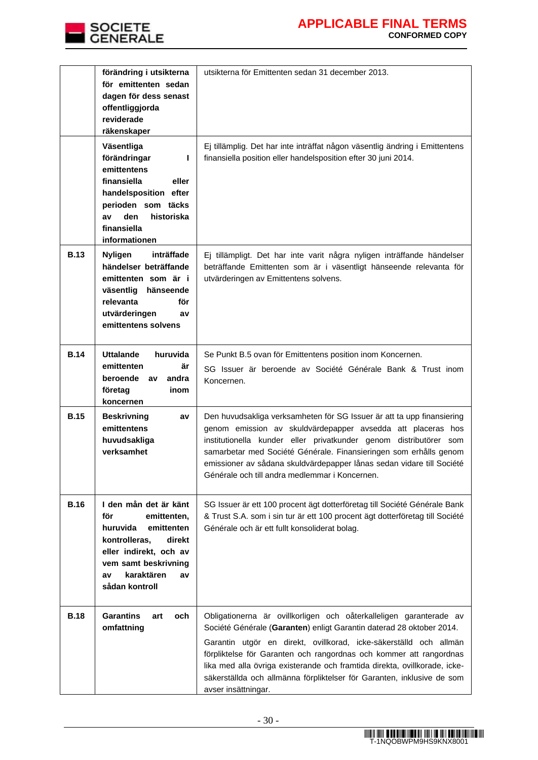

|             | förändring i utsikterna<br>för emittenten sedan<br>dagen för dess senast<br>offentliggjorda<br>reviderade<br>räkenskaper                                                                       | utsikterna för Emittenten sedan 31 december 2013.                                                                                                                                                                                                                                                                                                                                                                                                                   |
|-------------|------------------------------------------------------------------------------------------------------------------------------------------------------------------------------------------------|---------------------------------------------------------------------------------------------------------------------------------------------------------------------------------------------------------------------------------------------------------------------------------------------------------------------------------------------------------------------------------------------------------------------------------------------------------------------|
|             | Väsentliga<br>förändringar<br>L<br>emittentens<br>finansiella<br>eller<br>handelsposition efter<br>perioden som täcks<br>den<br>historiska<br>av<br>finansiella<br>informationen               | Ej tillämplig. Det har inte inträffat någon väsentlig ändring i Emittentens<br>finansiella position eller handelsposition efter 30 juni 2014.                                                                                                                                                                                                                                                                                                                       |
| <b>B.13</b> | inträffade<br><b>Nyligen</b><br>händelser beträffande<br>emittenten som är i<br>väsentlig<br>hänseende<br>relevanta<br>för<br>utvärderingen<br>av<br>emittentens solvens                       | Ej tillämpligt. Det har inte varit några nyligen inträffande händelser<br>beträffande Emittenten som är i väsentligt hänseende relevanta för<br>utvärderingen av Emittentens solvens.                                                                                                                                                                                                                                                                               |
| <b>B.14</b> | <b>Uttalande</b><br>huruvida<br>emittenten<br>är<br>beroende<br>andra<br>av<br>företag<br>inom<br>koncernen                                                                                    | Se Punkt B.5 ovan för Emittentens position inom Koncernen.<br>SG Issuer är beroende av Société Générale Bank & Trust inom<br>Koncernen.                                                                                                                                                                                                                                                                                                                             |
| <b>B.15</b> | <b>Beskrivning</b><br>av<br>emittentens<br>huvudsakliga<br>verksamhet                                                                                                                          | Den huvudsakliga verksamheten för SG Issuer är att ta upp finansiering<br>genom emission av skuldvärdepapper avsedda att placeras hos<br>institutionella kunder eller privatkunder genom distributörer som<br>samarbetar med Société Générale. Finansieringen som erhålls genom<br>emissioner av sådana skuldvärdepapper lånas sedan vidare till Société<br>Générale och till andra medlemmar i Koncernen.                                                          |
| <b>B.16</b> | I den mån det är känt<br>för<br>emittenten,<br>huruvida<br>emittenten<br>kontrolleras,<br>direkt<br>eller indirekt, och av<br>vem samt beskrivning<br>karaktären<br>av<br>av<br>sådan kontroll | SG Issuer är ett 100 procent ägt dotterföretag till Société Générale Bank<br>& Trust S.A. som i sin tur är ett 100 procent ägt dotterföretag till Société<br>Générale och är ett fullt konsoliderat bolag.                                                                                                                                                                                                                                                          |
| <b>B.18</b> | <b>Garantins</b><br>och<br>art<br>omfattning                                                                                                                                                   | Obligationerna är ovillkorligen och oåterkalleligen garanterade av<br>Société Générale (Garanten) enligt Garantin daterad 28 oktober 2014.<br>Garantin utgör en direkt, ovillkorad, icke-säkerställd och allmän<br>förpliktelse för Garanten och rangordnas och kommer att rangordnas<br>lika med alla övriga existerande och framtida direkta, ovillkorade, icke-<br>säkerställda och allmänna förpliktelser för Garanten, inklusive de som<br>avser insättningar. |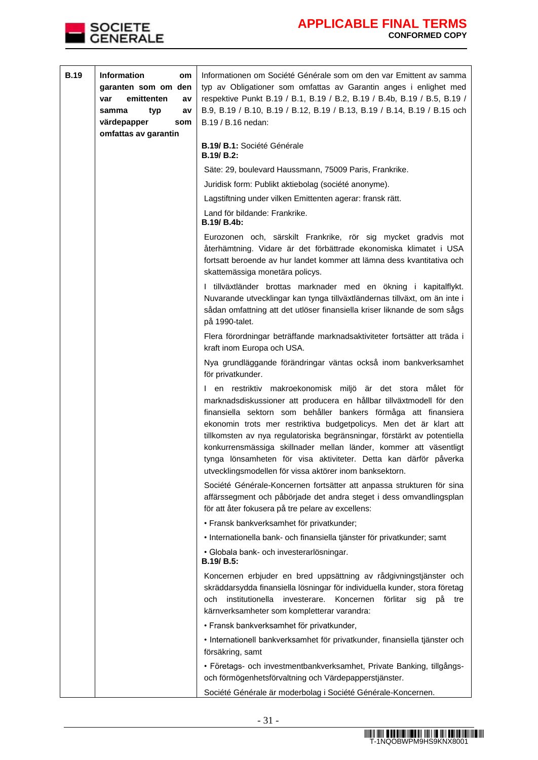

| <b>B.19</b> | <b>Information</b><br>om<br>garanten som om den<br>emittenten<br>var<br>a٧<br>samma<br>typ<br>a۷<br>värdepapper<br>som | Informationen om Société Générale som om den var Emittent av samma<br>typ av Obligationer som omfattas av Garantin anges i enlighet med<br>respektive Punkt B.19 / B.1, B.19 / B.2, B.19 / B.4b, B.19 / B.5, B.19 /<br>B.9, B.19 / B.10, B.19 / B.12, B.19 / B.13, B.19 / B.14, B.19 / B.15 och<br>B.19 / B.16 nedan:                                                                                                                                                                                                                                        |
|-------------|------------------------------------------------------------------------------------------------------------------------|--------------------------------------------------------------------------------------------------------------------------------------------------------------------------------------------------------------------------------------------------------------------------------------------------------------------------------------------------------------------------------------------------------------------------------------------------------------------------------------------------------------------------------------------------------------|
|             | omfattas av garantin                                                                                                   | B.19/ B.1: Société Générale<br><b>B.19/ B.2:</b>                                                                                                                                                                                                                                                                                                                                                                                                                                                                                                             |
|             |                                                                                                                        | Säte: 29, boulevard Haussmann, 75009 Paris, Frankrike.                                                                                                                                                                                                                                                                                                                                                                                                                                                                                                       |
|             |                                                                                                                        | Juridisk form: Publikt aktiebolag (société anonyme).                                                                                                                                                                                                                                                                                                                                                                                                                                                                                                         |
|             |                                                                                                                        | Lagstiftning under vilken Emittenten agerar: fransk rätt.                                                                                                                                                                                                                                                                                                                                                                                                                                                                                                    |
|             |                                                                                                                        | Land för bildande: Frankrike.<br>B.19/ B.4b:                                                                                                                                                                                                                                                                                                                                                                                                                                                                                                                 |
|             |                                                                                                                        | Eurozonen och, särskilt Frankrike, rör sig mycket gradvis mot<br>återhämtning. Vidare är det förbättrade ekonomiska klimatet i USA<br>fortsatt beroende av hur landet kommer att lämna dess kvantitativa och<br>skattemässiga monetära policys.                                                                                                                                                                                                                                                                                                              |
|             |                                                                                                                        | I tillväxtländer brottas marknader med en ökning i kapitalflykt.<br>Nuvarande utvecklingar kan tynga tillväxtländernas tillväxt, om än inte i<br>sådan omfattning att det utlöser finansiella kriser liknande de som sågs<br>på 1990-talet.                                                                                                                                                                                                                                                                                                                  |
|             |                                                                                                                        | Flera förordningar beträffande marknadsaktiviteter fortsätter att träda i<br>kraft inom Europa och USA.                                                                                                                                                                                                                                                                                                                                                                                                                                                      |
|             |                                                                                                                        | Nya grundläggande förändringar väntas också inom bankverksamhet<br>för privatkunder.                                                                                                                                                                                                                                                                                                                                                                                                                                                                         |
|             |                                                                                                                        | I en restriktiv makroekonomisk miljö är det stora målet för<br>marknadsdiskussioner att producera en hållbar tillväxtmodell för den<br>finansiella sektorn som behåller bankers förmåga att finansiera<br>ekonomin trots mer restriktiva budgetpolicys. Men det är klart att<br>tillkomsten av nya regulatoriska begränsningar, förstärkt av potentiella<br>konkurrensmässiga skillnader mellan länder, kommer att väsentligt<br>tynga lönsamheten för visa aktiviteter. Detta kan därför påverka<br>utvecklingsmodellen för vissa aktörer inom banksektorn. |
|             |                                                                                                                        | Société Générale-Koncernen fortsätter att anpassa strukturen för sina<br>affärssegment och påbörjade det andra steget i dess omvandlingsplan<br>för att åter fokusera på tre pelare av excellens:                                                                                                                                                                                                                                                                                                                                                            |
|             |                                                                                                                        | • Fransk bankverksamhet för privatkunder;                                                                                                                                                                                                                                                                                                                                                                                                                                                                                                                    |
|             |                                                                                                                        | • Internationella bank- och finansiella tjänster för privatkunder; samt                                                                                                                                                                                                                                                                                                                                                                                                                                                                                      |
|             |                                                                                                                        | · Globala bank- och investerarlösningar.<br>B.19/ B.5:                                                                                                                                                                                                                                                                                                                                                                                                                                                                                                       |
|             |                                                                                                                        | Koncernen erbjuder en bred uppsättning av rådgivningstjänster och<br>skräddarsydda finansiella lösningar för individuella kunder, stora företag<br>institutionella<br>och<br>investerare.<br>Koncernen<br>förlitar<br>sig<br>рå<br>tre<br>kärnverksamheter som kompletterar varandra:                                                                                                                                                                                                                                                                        |
|             |                                                                                                                        | • Fransk bankverksamhet för privatkunder,                                                                                                                                                                                                                                                                                                                                                                                                                                                                                                                    |
|             |                                                                                                                        | · Internationell bankverksamhet för privatkunder, finansiella tjänster och<br>försäkring, samt                                                                                                                                                                                                                                                                                                                                                                                                                                                               |
|             |                                                                                                                        | · Företags- och investmentbankverksamhet, Private Banking, tillgångs-<br>och förmögenhetsförvaltning och Värdepapperstjänster.                                                                                                                                                                                                                                                                                                                                                                                                                               |
|             |                                                                                                                        | Société Générale är moderbolag i Société Générale-Koncernen.                                                                                                                                                                                                                                                                                                                                                                                                                                                                                                 |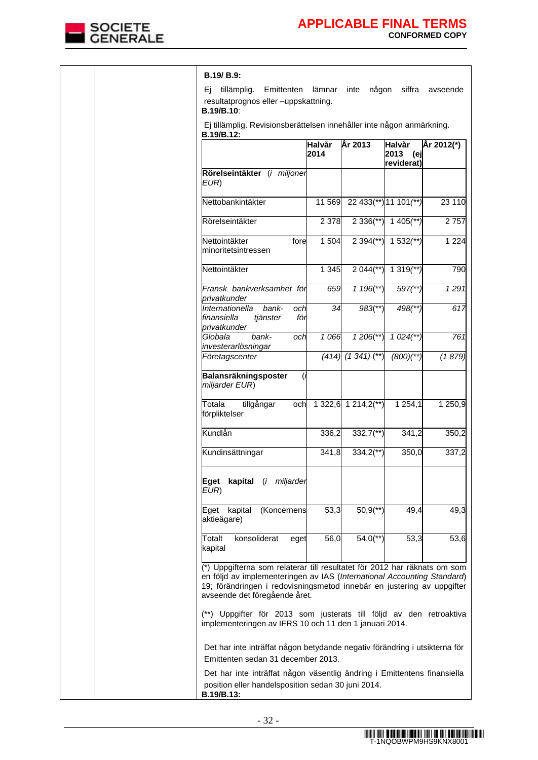

|  | B.19/B.9:                                                                                                                                                                                                                                                       |                       |                           |                                     |                  |
|--|-----------------------------------------------------------------------------------------------------------------------------------------------------------------------------------------------------------------------------------------------------------------|-----------------------|---------------------------|-------------------------------------|------------------|
|  | Ei<br>tillämplig.<br>Emittenten<br>resultatprognos eller -uppskattning.<br>B.19/B.10:                                                                                                                                                                           | lämnar                | någon<br>inte             |                                     | siffra avseende  |
|  | Ej tillämplig. Revisionsberättelsen innehåller inte någon anmärkning.<br>B.19/B.12:                                                                                                                                                                             |                       |                           |                                     |                  |
|  |                                                                                                                                                                                                                                                                 | <b>Halvår</b><br>2014 | År 2013                   | Halvår<br>2013<br>(ej<br>reviderat) | År 2012(*)       |
|  | Rörelseintäkter (i miljoner<br>EUR)                                                                                                                                                                                                                             |                       |                           |                                     |                  |
|  | Nettobankintäkter                                                                                                                                                                                                                                               | 11 569                |                           | 22 433(**) 11 101(**)               | 23 110           |
|  | Rörelseintäkter                                                                                                                                                                                                                                                 | 2 3 7 8               | $2336$ <sup>**</sup> )    | $1405$ <sup>**</sup> )              | 2757             |
|  | Nettointäkter<br>fore<br>minoritetsintressen                                                                                                                                                                                                                    | 1 504                 | $2394$ <sup>(**)</sup>    | $1532$ <sup>**</sup>                | 1 2 2 4          |
|  | Nettointäkter                                                                                                                                                                                                                                                   | 1 3 4 5               | $2044$ <sup>**</sup> )    | 1 319 $(**)$                        | 790              |
|  | Fransk bankverksamhet för<br>privatkunder                                                                                                                                                                                                                       | 659                   | $1196$ (**)               | $597$ <sup>**</sup> )               | 1291             |
|  | Internationella<br>bank-<br>och<br>finansiella<br>för<br>tjänster<br>privatkunder                                                                                                                                                                               | 34                    | $983$ <sup>**</sup> )     | 498(**)                             | $\overline{617}$ |
|  | bank-<br>Globala<br>och<br>investerarlösningar                                                                                                                                                                                                                  | 1066                  | $1206$ <sup>**</sup> )    | $1024$ <sup>**</sup> )              | 761              |
|  | Företagscenter                                                                                                                                                                                                                                                  |                       | $(414)$ $(1\,341)$ $(**)$ | $(800)(**)$                         | (1879)           |
|  | Balansräkningsposter<br>(i<br>miljarder EUR)                                                                                                                                                                                                                    |                       |                           |                                     |                  |
|  | Totala<br>tillgångar<br>och<br>förpliktelser                                                                                                                                                                                                                    |                       | 1 322,6 1 214,2(**)       | 1 2 5 4 , 1                         | 1 250,9          |
|  | Kundlån                                                                                                                                                                                                                                                         | 336,2                 | $332,7$ <sup>**</sup> )   | 341,2                               | 350,2            |
|  | Kundinsättningar                                                                                                                                                                                                                                                | 341,8                 | $334,2$ <sup>**</sup> )   | 350,0                               | 337,2            |
|  | kapital (i miljarder<br>Eqet<br>EUR)                                                                                                                                                                                                                            |                       |                           |                                     |                  |
|  | Eget kapital<br>(Koncernens<br>aktieägare)                                                                                                                                                                                                                      | 53,3                  | $50,9$ <sup>**</sup> )    | 49,4                                | 49,3             |
|  | Totalt<br>konsoliderat<br>eget<br>kapital                                                                                                                                                                                                                       | 56,0                  | $54,0$ <sup>**</sup> )    | 53,3                                | 53,6             |
|  | (*) Uppgifterna som relaterar till resultatet för 2012 har räknats om som<br>en följd av implementeringen av IAS (International Accounting Standard)<br>19; förändringen i redovisningsmetod innebär en justering av uppgifter<br>avseende det föregående året. |                       |                           |                                     |                  |
|  | (**) Uppgifter för 2013 som justerats till följd av den retroaktiva<br>implementeringen av IFRS 10 och 11 den 1 januari 2014.                                                                                                                                   |                       |                           |                                     |                  |
|  | Det har inte inträffat någon betydande negativ förändring i utsikterna för<br>Emittenten sedan 31 december 2013.                                                                                                                                                |                       |                           |                                     |                  |
|  | Det har inte inträffat någon väsentlig ändring i Emittentens finansiella<br>position eller handelsposition sedan 30 juni 2014.<br>B.19/B.13:                                                                                                                    |                       |                           |                                     |                  |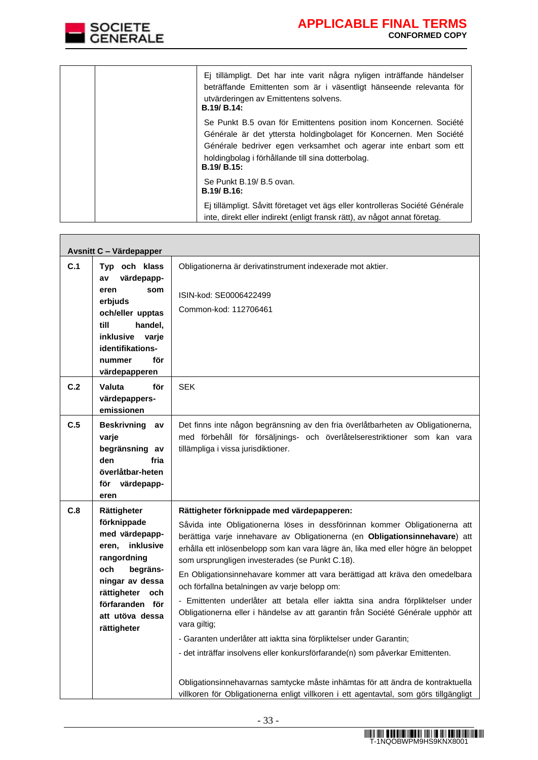

**The Common** 

| Ej tillämpligt. Det har inte varit några nyligen inträffande händelser<br>beträffande Emittenten som är i väsentligt hänseende relevanta för<br>utvärderingen av Emittentens solvens.<br><b>B.19/ B.14:</b>                                                                             |
|-----------------------------------------------------------------------------------------------------------------------------------------------------------------------------------------------------------------------------------------------------------------------------------------|
| Se Punkt B.5 ovan för Emittentens position inom Koncernen. Société<br>Générale är det yttersta holdingbolaget för Koncernen. Men Société<br>Générale bedriver egen verksamhet och agerar inte enbart som ett<br>holdingbolag i förhållande till sina dotterbolag.<br><b>B.19/ B.15:</b> |
| Se Punkt B.19/ B.5 ovan.<br><b>B.19/ B.16:</b>                                                                                                                                                                                                                                          |
| Ej tillämpligt. Såvitt företaget vet ägs eller kontrolleras Société Générale<br>inte, direkt eller indirekt (enligt fransk rätt), av något annat företag.                                                                                                                               |

|     | Avsnitt C - Värdepapper                                                                                                                                                                         |                                                                                                                                                                                                                                                                                                                                                                                                                                                                                                                                                                                                                                                                                                                                                                                                                                                                                                                                                                                                           |
|-----|-------------------------------------------------------------------------------------------------------------------------------------------------------------------------------------------------|-----------------------------------------------------------------------------------------------------------------------------------------------------------------------------------------------------------------------------------------------------------------------------------------------------------------------------------------------------------------------------------------------------------------------------------------------------------------------------------------------------------------------------------------------------------------------------------------------------------------------------------------------------------------------------------------------------------------------------------------------------------------------------------------------------------------------------------------------------------------------------------------------------------------------------------------------------------------------------------------------------------|
| C.1 | Typ och klass<br>värdepapp-<br>av                                                                                                                                                               | Obligationerna är derivatinstrument indexerade mot aktier.                                                                                                                                                                                                                                                                                                                                                                                                                                                                                                                                                                                                                                                                                                                                                                                                                                                                                                                                                |
|     | eren<br>som<br>erbjuds<br>och/eller upptas<br>till<br>handel,<br><b>inklusive</b><br>varje<br>identifikations-<br>för<br>nummer<br>värdepapperen                                                | ISIN-kod: SE0006422499<br>Common-kod: 112706461                                                                                                                                                                                                                                                                                                                                                                                                                                                                                                                                                                                                                                                                                                                                                                                                                                                                                                                                                           |
| C.2 | Valuta<br>för<br>värdepappers-<br>emissionen                                                                                                                                                    | <b>SEK</b>                                                                                                                                                                                                                                                                                                                                                                                                                                                                                                                                                                                                                                                                                                                                                                                                                                                                                                                                                                                                |
| C.5 | Beskrivning av<br>varje<br>begränsning av<br>fria<br>den<br>överlåtbar-heten<br>för<br>värdepapp-<br>eren                                                                                       | Det finns inte någon begränsning av den fria överlåtbarheten av Obligationerna,<br>med förbehåll för försäljnings- och överlåtelserestriktioner som kan vara<br>tillämpliga i vissa jurisdiktioner.                                                                                                                                                                                                                                                                                                                                                                                                                                                                                                                                                                                                                                                                                                                                                                                                       |
| C.8 | Rättigheter<br>förknippade<br>med värdepapp-<br>inklusive<br>eren,<br>rangordning<br>begräns-<br>och<br>ningar av dessa<br>rättigheter och<br>förfaranden för<br>att utöva dessa<br>rättigheter | Rättigheter förknippade med värdepapperen:<br>Såvida inte Obligationerna löses in dessförinnan kommer Obligationerna att<br>berättiga varje innehavare av Obligationerna (en Obligationsinnehavare) att<br>erhålla ett inlösenbelopp som kan vara lägre än, lika med eller högre än beloppet<br>som ursprungligen investerades (se Punkt C.18).<br>En Obligationsinnehavare kommer att vara berättigad att kräva den omedelbara<br>och förfallna betalningen av varje belopp om:<br>- Emittenten underlåter att betala eller iaktta sina andra förpliktelser under<br>Obligationerna eller i händelse av att garantin från Société Générale upphör att<br>vara giltig;<br>- Garanten underlåter att iaktta sina förpliktelser under Garantin;<br>- det inträffar insolvens eller konkursförfarande(n) som påverkar Emittenten.<br>Obligationsinnehavarnas samtycke måste inhämtas för att ändra de kontraktuella<br>villkoren för Obligationerna enligt villkoren i ett agentavtal, som görs tillgängligt |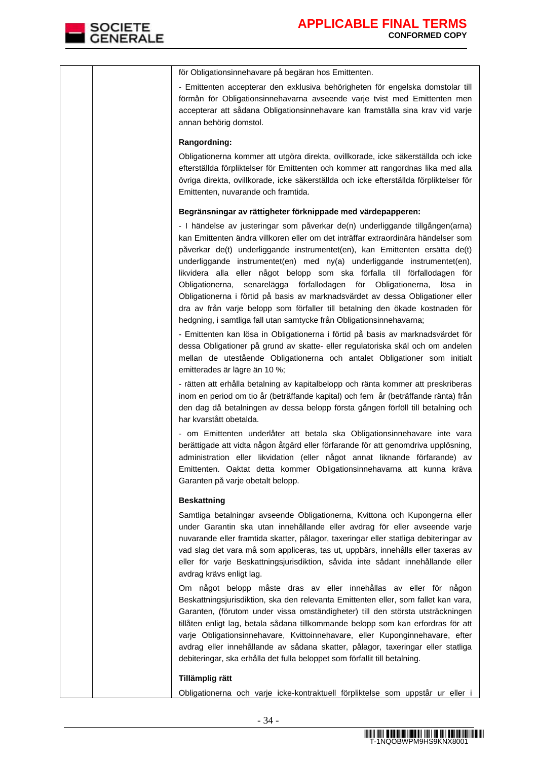

| för Obligationsinnehavare på begäran hos Emittenten.                                                                                                                                                                                                                                                                                                                                                                                                                                                                                                                                                                                                                                                                                    |
|-----------------------------------------------------------------------------------------------------------------------------------------------------------------------------------------------------------------------------------------------------------------------------------------------------------------------------------------------------------------------------------------------------------------------------------------------------------------------------------------------------------------------------------------------------------------------------------------------------------------------------------------------------------------------------------------------------------------------------------------|
| - Emittenten accepterar den exklusiva behörigheten för engelska domstolar till<br>förmån för Obligationsinnehavarna avseende varje tvist med Emittenten men<br>accepterar att sådana Obligationsinnehavare kan framställa sina krav vid varje<br>annan behörig domstol.                                                                                                                                                                                                                                                                                                                                                                                                                                                                 |
| Rangordning:                                                                                                                                                                                                                                                                                                                                                                                                                                                                                                                                                                                                                                                                                                                            |
| Obligationerna kommer att utgöra direkta, ovillkorade, icke säkerställda och icke<br>efterställda förpliktelser för Emittenten och kommer att rangordnas lika med alla<br>övriga direkta, ovillkorade, icke säkerställda och icke efterställda förpliktelser för<br>Emittenten, nuvarande och framtida.                                                                                                                                                                                                                                                                                                                                                                                                                                 |
| Begränsningar av rättigheter förknippade med värdepapperen:                                                                                                                                                                                                                                                                                                                                                                                                                                                                                                                                                                                                                                                                             |
| - I händelse av justeringar som påverkar de(n) underliggande tillgången(arna)<br>kan Emittenten ändra villkoren eller om det inträffar extraordinära händelser som<br>påverkar de(t) underliggande instrumentet(en), kan Emittenten ersätta de(t)<br>underliggande instrumentet(en) med ny(a) underliggande instrumentet(en),<br>likvidera alla eller något belopp som ska förfalla till förfallodagen för<br>senarelägga förfallodagen för Obligationerna,<br>Obligationerna,<br>lösa<br>in<br>Obligationerna i förtid på basis av marknadsvärdet av dessa Obligationer eller<br>dra av från varje belopp som förfaller till betalning den ökade kostnaden för<br>hedgning, i samtliga fall utan samtycke från Obligationsinnehavarna; |
| - Emittenten kan lösa in Obligationerna i förtid på basis av marknadsvärdet för<br>dessa Obligationer på grund av skatte- eller regulatoriska skäl och om andelen<br>mellan de utestående Obligationerna och antalet Obligationer som initialt<br>emitterades är lägre än 10 %;                                                                                                                                                                                                                                                                                                                                                                                                                                                         |
| - rätten att erhålla betalning av kapitalbelopp och ränta kommer att preskriberas<br>inom en period om tio år (beträffande kapital) och fem år (beträffande ränta) från<br>den dag då betalningen av dessa belopp första gången förföll till betalning och<br>har kvarstått obetalda.                                                                                                                                                                                                                                                                                                                                                                                                                                                   |
| - om Emittenten underlåter att betala ska Obligationsinnehavare inte vara<br>berättigade att vidta någon åtgärd eller förfarande för att genomdriva upplösning,<br>administration eller likvidation (eller något annat liknande förfarande) av<br>Emittenten. Oaktat detta kommer Obligationsinnehavarna att kunna kräva<br>Garanten på varje obetalt belopp.                                                                                                                                                                                                                                                                                                                                                                           |
| <b>Beskattning</b>                                                                                                                                                                                                                                                                                                                                                                                                                                                                                                                                                                                                                                                                                                                      |
| Samtliga betalningar avseende Obligationerna, Kvittona och Kupongerna eller<br>under Garantin ska utan innehållande eller avdrag för eller avseende varje<br>nuvarande eller framtida skatter, pålagor, taxeringar eller statliga debiteringar av<br>vad slag det vara må som appliceras, tas ut, uppbärs, innehålls eller taxeras av<br>eller för varje Beskattningsjurisdiktion, såvida inte sådant innehållande eller<br>avdrag krävs enligt lag.                                                                                                                                                                                                                                                                                    |
| Om något belopp måste dras av eller innehållas av eller för någon<br>Beskattningsjurisdiktion, ska den relevanta Emittenten eller, som fallet kan vara,<br>Garanten, (förutom under vissa omständigheter) till den största utsträckningen<br>tillåten enligt lag, betala sådana tillkommande belopp som kan erfordras för att<br>varje Obligationsinnehavare, Kvittoinnehavare, eller Kuponginnehavare, efter<br>avdrag eller innehållande av sådana skatter, pålagor, taxeringar eller statliga<br>debiteringar, ska erhålla det fulla beloppet som förfallit till betalning.                                                                                                                                                          |
| Tillämplig rätt                                                                                                                                                                                                                                                                                                                                                                                                                                                                                                                                                                                                                                                                                                                         |
| Obligationerna och varje icke-kontraktuell förpliktelse som uppstår ur eller i                                                                                                                                                                                                                                                                                                                                                                                                                                                                                                                                                                                                                                                          |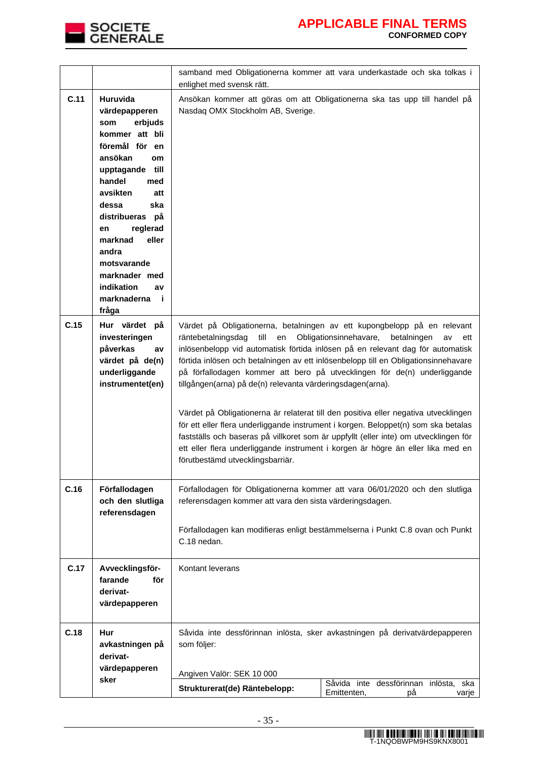

|                                                                                                                                                                                                                                                                                                                                                   | samband med Obligationerna kommer att vara underkastade och ska tolkas i<br>enlighet med svensk rätt.                                                                                                                                                                                                                                                                                                                                                                                                                                                                                                                                                                                                                                                                                                                                                                            |  |  |
|---------------------------------------------------------------------------------------------------------------------------------------------------------------------------------------------------------------------------------------------------------------------------------------------------------------------------------------------------|----------------------------------------------------------------------------------------------------------------------------------------------------------------------------------------------------------------------------------------------------------------------------------------------------------------------------------------------------------------------------------------------------------------------------------------------------------------------------------------------------------------------------------------------------------------------------------------------------------------------------------------------------------------------------------------------------------------------------------------------------------------------------------------------------------------------------------------------------------------------------------|--|--|
| C.11<br><b>Huruvida</b><br>värdepapperen<br>erbjuds<br>som<br>kommer att bli<br>föremål för en<br>ansökan<br>om<br>till<br>upptagande<br>handel<br>med<br>avsikten<br>att<br>ska<br>dessa<br>distribueras<br>рå<br>reglerad<br>en<br>eller<br>marknad<br>andra<br>motsvarande<br>marknader med<br>indikation<br>av<br>marknaderna<br>- i<br>fråga | Ansökan kommer att göras om att Obligationerna ska tas upp till handel på<br>Nasdaq OMX Stockholm AB, Sverige.                                                                                                                                                                                                                                                                                                                                                                                                                                                                                                                                                                                                                                                                                                                                                                   |  |  |
| C.15<br>Hur värdet på<br>investeringen<br>påverkas<br>av<br>värdet på de(n)<br>underliggande<br>instrumentet(en)                                                                                                                                                                                                                                  | Värdet på Obligationerna, betalningen av ett kupongbelopp på en relevant<br>till<br>räntebetalningsdag<br>Obligationsinnehavare,<br>en<br>betalningen<br>av<br>ett<br>inlösenbelopp vid automatisk förtida inlösen på en relevant dag för automatisk<br>förtida inlösen och betalningen av ett inlösenbelopp till en Obligationsinnehavare<br>på förfallodagen kommer att bero på utvecklingen för de(n) underliggande<br>tillgången(arna) på de(n) relevanta värderingsdagen(arna).<br>Värdet på Obligationerna är relaterat till den positiva eller negativa utvecklingen<br>för ett eller flera underliggande instrument i korgen. Beloppet(n) som ska betalas<br>fastställs och baseras på villkoret som är uppfyllt (eller inte) om utvecklingen för<br>ett eller flera underliggande instrument i korgen är högre än eller lika med en<br>förutbestämd utvecklingsbarriär. |  |  |
| C.16<br>Förfallodagen<br>och den slutliga<br>referensdagen                                                                                                                                                                                                                                                                                        | Förfallodagen för Obligationerna kommer att vara 06/01/2020 och den slutliga<br>referensdagen kommer att vara den sista värderingsdagen.<br>Förfallodagen kan modifieras enligt bestämmelserna i Punkt C.8 ovan och Punkt<br>C.18 nedan.                                                                                                                                                                                                                                                                                                                                                                                                                                                                                                                                                                                                                                         |  |  |
| C.17<br>Avvecklingsför-<br>farande<br>för<br>derivat-<br>värdepapperen                                                                                                                                                                                                                                                                            | Kontant leverans                                                                                                                                                                                                                                                                                                                                                                                                                                                                                                                                                                                                                                                                                                                                                                                                                                                                 |  |  |
| C.18<br>Hur<br>avkastningen på<br>derivat-<br>värdepapperen<br>sker                                                                                                                                                                                                                                                                               | Såvida inte dessförinnan inlösta, sker avkastningen på derivatvärdepapperen<br>som följer:<br>Angiven Valör: SEK 10 000<br>Såvida inte dessförinnan inlösta, ska<br>Strukturerat(de) Räntebelopp:<br>Emittenten,<br>рå<br>varje                                                                                                                                                                                                                                                                                                                                                                                                                                                                                                                                                                                                                                                  |  |  |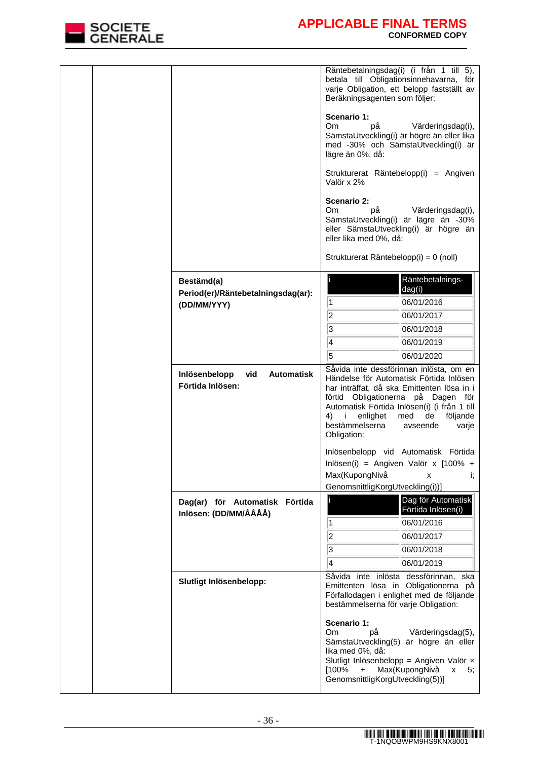

|  |                                                                 | Räntebetalningsdag(i) (i från 1 till 5),<br>betala till Obligationsinnehavarna, för<br>varje Obligation, ett belopp fastställt av<br>Beräkningsagenten som följer:<br>Scenario 1:<br>Om.<br>рå<br>Värderingsdag(i),<br>SämstaUtveckling(i) är högre än eller lika<br>med -30% och SämstaUtveckling(i) är<br>lägre än 0%, då:<br>Strukturerat Räntebelopp(i) = Angiven<br>Valör x 2%<br>Scenario 2:<br>Om.<br>рå<br>Värderingsdag(i),<br>SämstaUtveckling(i) är lägre än -30%<br>eller SämstaUtveckling(i) är högre än<br>eller lika med 0%, då:<br>Strukturerat Räntebelopp(i) = 0 (noll) |
|--|-----------------------------------------------------------------|-------------------------------------------------------------------------------------------------------------------------------------------------------------------------------------------------------------------------------------------------------------------------------------------------------------------------------------------------------------------------------------------------------------------------------------------------------------------------------------------------------------------------------------------------------------------------------------------|
|  | Bestämd(a)<br>Period(er)/Räntebetalningsdag(ar):<br>(DD/MM/YYY) | Räntebetalnings-<br>dag(i)<br>$\overline{1}$<br>06/01/2016<br> 2 <br>06/01/2017<br>3<br>06/01/2018<br>4<br>06/01/2019<br>5<br>06/01/2020                                                                                                                                                                                                                                                                                                                                                                                                                                                  |
|  | Inlösenbelopp<br>vid<br><b>Automatisk</b><br>Förtida Inlösen:   | Såvida inte dessförinnan inlösta, om en<br>Händelse för Automatisk Förtida Inlösen<br>har inträffat, då ska Emittenten lösa in i<br>förtid Obligationerna på Dagen för<br>Automatisk Förtida Inlösen(i) (i från 1 till<br>enlighet<br>de<br>4) i<br>med<br>följande<br>bestämmelserna<br>avseende<br>varje<br>Obligation:<br>Inlösenbelopp vid Automatisk Förtida<br>Inlösen(i) = Angiven Valör x $[100\% +$<br>Max(KupongNivå<br>İ,<br>x<br>GenomsnittligKorgUtveckling(i))]                                                                                                             |
|  | Dag(ar) för Automatisk Förtida<br>Inlösen: (DD/MM/ÅÅÅÅ)         | Dag för Automatisk<br>Förtida Inlösen(i)<br>06/01/2016<br>$\vert$ 1<br>2<br>06/01/2017<br>3<br>06/01/2018<br>4<br>06/01/2019                                                                                                                                                                                                                                                                                                                                                                                                                                                              |
|  | Slutligt Inlösenbelopp:                                         | Såvida inte inlösta dessförinnan, ska<br>Emittenten lösa in Obligationerna på<br>Förfallodagen i enlighet med de följande<br>bestämmelserna för varje Obligation:<br>Scenario 1:<br>Om<br>рå<br>Värderingsdag(5),<br>SämstaUtveckling(5) är högre än eller<br>lika med 0%, då:<br>Slutligt Inlösenbelopp = Angiven Valör x<br>Max(KupongNivå<br>[100%<br>$+$<br>X<br>5,<br>GenomsnittligKorgUtveckling(5))]                                                                                                                                                                               |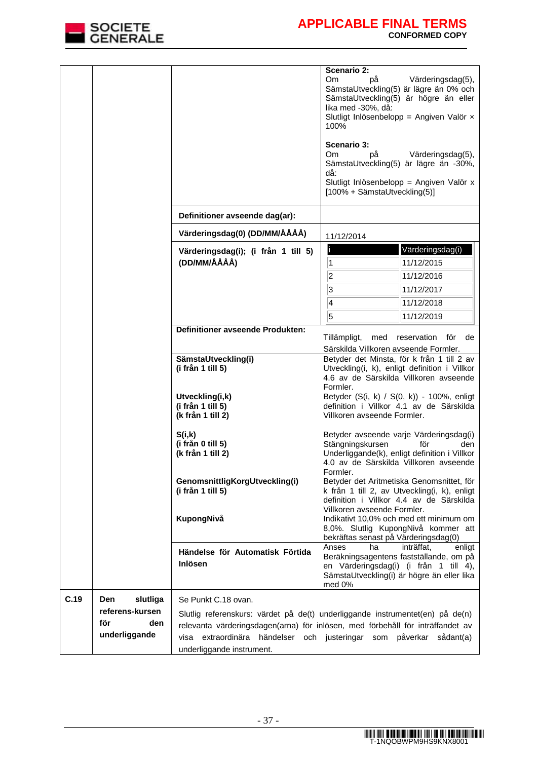

|      |                                                                   |                                                                                                                                                                                                                                                                                            | Scenario 2:<br>Om.<br>рå<br>lika med -30%, då:<br>100%<br>Scenario 3:<br>Om.<br>рå<br>då:<br>[100% + SämstaUtveckling(5)] | Värderingsdag(5),<br>SämstaUtveckling(5) är lägre än 0% och<br>SämstaUtveckling(5) är högre än eller<br>Slutligt Inlösenbelopp = Angiven Valör $\times$<br>Värderingsdag(5),<br>SämstaUtveckling(5) är lägre än -30%,<br>Slutligt Inlösenbelopp = Angiven Valör x |
|------|-------------------------------------------------------------------|--------------------------------------------------------------------------------------------------------------------------------------------------------------------------------------------------------------------------------------------------------------------------------------------|---------------------------------------------------------------------------------------------------------------------------|-------------------------------------------------------------------------------------------------------------------------------------------------------------------------------------------------------------------------------------------------------------------|
|      |                                                                   | Definitioner avseende dag(ar):                                                                                                                                                                                                                                                             |                                                                                                                           |                                                                                                                                                                                                                                                                   |
|      |                                                                   | Värderingsdag(0) (DD/MM/ÅÅÅÅ)                                                                                                                                                                                                                                                              | 11/12/2014                                                                                                                |                                                                                                                                                                                                                                                                   |
|      |                                                                   | Värderingsdag(i); (i från 1 till 5)<br>(DD/MM/ÅÅÅÅ)                                                                                                                                                                                                                                        | $\overline{1}$<br>$ 2\rangle$<br>3<br>4<br>$\overline{5}$                                                                 | Värderingsdag(i)<br>11/12/2015<br>11/12/2016<br>11/12/2017<br>11/12/2018<br>11/12/2019                                                                                                                                                                            |
|      |                                                                   | <b>Definitioner avseende Produkten:</b>                                                                                                                                                                                                                                                    |                                                                                                                           |                                                                                                                                                                                                                                                                   |
|      |                                                                   |                                                                                                                                                                                                                                                                                            | Tillämpligt,<br>med<br>Särskilda Villkoren avseende Formler.                                                              | för<br>reservation<br>de                                                                                                                                                                                                                                          |
|      |                                                                   | SämstaUtveckling(i)<br>(i från 1 till 5)                                                                                                                                                                                                                                                   | Formler.                                                                                                                  | Betyder det Minsta, för k från 1 till 2 av<br>Utveckling(i, k), enligt definition i Villkor<br>4.6 av de Särskilda Villkoren avseende                                                                                                                             |
|      |                                                                   | Utveckling(i,k)<br>(i från 1 till 5)<br>(k från 1 till 2)                                                                                                                                                                                                                                  | Villkoren avseende Formler.                                                                                               | Betyder (S(i, k) / S(0, k)) - 100%, enligt<br>definition i Villkor 4.1 av de Särskilda                                                                                                                                                                            |
|      |                                                                   | S(i,k)<br>(i från 0 till 5)<br>(k från 1 till 2)                                                                                                                                                                                                                                           | Stängningskursen<br>Formler.                                                                                              | Betyder avseende varje Värderingsdag(i)<br>för<br>den<br>Underliggande(k), enligt definition i Villkor<br>4.0 av de Särskilda Villkoren avseende                                                                                                                  |
|      |                                                                   | GenomsnittligKorgUtveckling(i)<br>(i från 1 till 5)                                                                                                                                                                                                                                        | Villkoren avseende Formler.                                                                                               | Betyder det Aritmetiska Genomsnittet, för<br>k från 1 till 2, av Utveckling(i, k), enligt<br>definition i Villkor 4.4 av de Särskilda                                                                                                                             |
|      |                                                                   | KupongNivå                                                                                                                                                                                                                                                                                 | bekräftas senast på Värderingsdag(0)                                                                                      | Indikativt 10,0% och med ett minimum om<br>8,0%. Slutlig KupongNivå kommer att                                                                                                                                                                                    |
|      |                                                                   | Händelse för Automatisk Förtida<br>Inlösen                                                                                                                                                                                                                                                 | ha<br>Anses<br>med 0%                                                                                                     | inträffat,<br>enligt<br>Beräkningsagentens fastställande, om på<br>en Värderingsdag(i) (i från 1 till 4),<br>SämstaUtveckling(i) är högre än eller lika                                                                                                           |
| C.19 | slutliga<br>Den<br>referens-kursen<br>för<br>den<br>underliggande | Se Punkt C.18 ovan.<br>Slutlig referenskurs: värdet på de(t) underliggande instrumentet(en) på de(n)<br>relevanta värderingsdagen(arna) för inlösen, med förbehåll för inträffandet av<br>visa extraordinära händelser och justeringar som påverkar sådant(a)<br>underliggande instrument. |                                                                                                                           |                                                                                                                                                                                                                                                                   |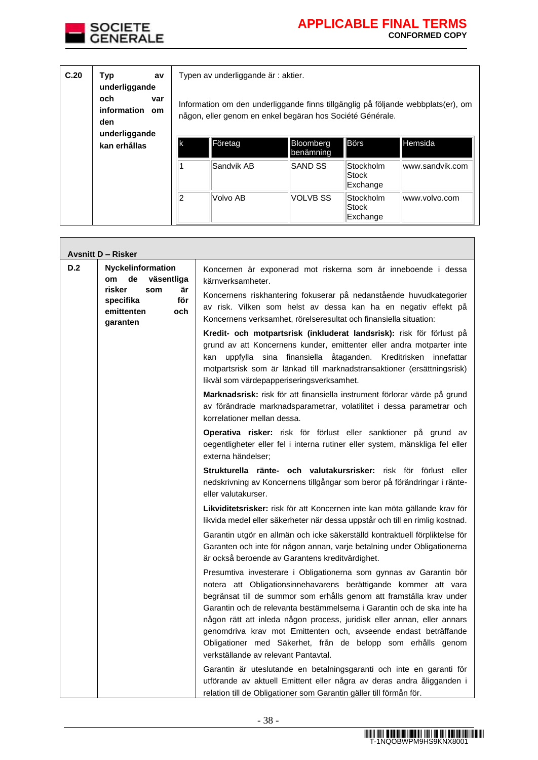

| C.20 | Typ<br>av<br>underliggande<br>och.<br>var<br>information<br><b>om</b><br>den |    | Typen av underliggande är : aktier.<br>Information om den underliggande finns tillgänglig på följande webbplats(er), om<br>någon, eller genom en enkel begäran hos Société Générale. |            |                        |                                |                 |
|------|------------------------------------------------------------------------------|----|--------------------------------------------------------------------------------------------------------------------------------------------------------------------------------------|------------|------------------------|--------------------------------|-----------------|
|      | underliggande<br>kan erhållas                                                | lk |                                                                                                                                                                                      | Företag    | Bloomberg<br>benämning | <b>Börs</b>                    | <b>Hemsida</b>  |
|      |                                                                              |    |                                                                                                                                                                                      | Sandvik AB | <b>ISAND SS</b>        | Stockholm<br>Stock<br>Exchange | www.sandvik.com |
|      |                                                                              | 2  |                                                                                                                                                                                      | Volvo AB   | VOLVB SS               | Stockholm<br>Stock<br>Exchange | www.volvo.com   |

|     | <b>Avsnitt D - Risker</b>                                                |                                                                                                                                                                                                                                                                                                                                                                                                                                                                                                                                              |
|-----|--------------------------------------------------------------------------|----------------------------------------------------------------------------------------------------------------------------------------------------------------------------------------------------------------------------------------------------------------------------------------------------------------------------------------------------------------------------------------------------------------------------------------------------------------------------------------------------------------------------------------------|
| D.2 | <b>Nyckelinformation</b><br>de<br>väsentliga<br>om                       | Koncernen är exponerad mot riskerna som är inneboende i dessa<br>kärnverksamheter.                                                                                                                                                                                                                                                                                                                                                                                                                                                           |
|     | risker<br>är<br>som<br>för<br>specifika<br>emittenten<br>och<br>garanten | Koncernens riskhantering fokuserar på nedanstående huvudkategorier<br>av risk. Vilken som helst av dessa kan ha en negativ effekt på<br>Koncernens verksamhet, rörelseresultat och finansiella situation:                                                                                                                                                                                                                                                                                                                                    |
|     |                                                                          | Kredit- och motpartsrisk (inkluderat landsrisk): risk för förlust på<br>grund av att Koncernens kunder, emittenter eller andra motparter inte<br>kan uppfylla sina finansiella åtaganden. Kreditrisken innefattar<br>motpartsrisk som är länkad till marknadstransaktioner (ersättningsrisk)<br>likväl som värdepapperiseringsverksamhet.                                                                                                                                                                                                    |
|     |                                                                          | Marknadsrisk: risk för att finansiella instrument förlorar värde på grund<br>av förändrade marknadsparametrar, volatilitet i dessa parametrar och<br>korrelationer mellan dessa.                                                                                                                                                                                                                                                                                                                                                             |
|     |                                                                          | Operativa risker: risk för förlust eller sanktioner på grund av<br>oegentligheter eller fel i interna rutiner eller system, mänskliga fel eller<br>externa händelser;                                                                                                                                                                                                                                                                                                                                                                        |
|     |                                                                          | Strukturella ränte- och valutakursrisker: risk för förlust eller<br>nedskrivning av Koncernens tillgångar som beror på förändringar i ränte-<br>eller valutakurser.                                                                                                                                                                                                                                                                                                                                                                          |
|     |                                                                          | Likviditetsrisker: risk för att Koncernen inte kan möta gällande krav för<br>likvida medel eller säkerheter när dessa uppstår och till en rimlig kostnad.                                                                                                                                                                                                                                                                                                                                                                                    |
|     |                                                                          | Garantin utgör en allmän och icke säkerställd kontraktuell förpliktelse för<br>Garanten och inte för någon annan, varje betalning under Obligationerna<br>är också beroende av Garantens kreditvärdighet.                                                                                                                                                                                                                                                                                                                                    |
|     |                                                                          | Presumtiva investerare i Obligationerna som gynnas av Garantin bör<br>notera att Obligationsinnehavarens berättigande kommer att vara<br>begränsat till de summor som erhålls genom att framställa krav under<br>Garantin och de relevanta bestämmelserna i Garantin och de ska inte ha<br>någon rätt att inleda någon process, juridisk eller annan, eller annars<br>genomdriva krav mot Emittenten och, avseende endast beträffande<br>Obligationer med Säkerhet, från de belopp som erhålls genom<br>verkställande av relevant Pantavtal. |
|     |                                                                          | Garantin är uteslutande en betalningsgaranti och inte en garanti för<br>utförande av aktuell Emittent eller några av deras andra åligganden i<br>relation till de Obligationer som Garantin gäller till förmån för.                                                                                                                                                                                                                                                                                                                          |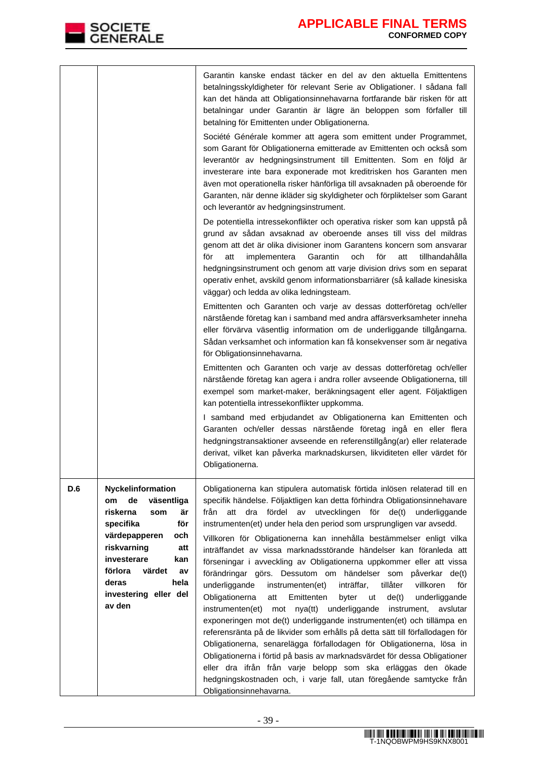|     |                                                                                                                                                                                                                                                    | Garantin kanske endast täcker en del av den aktuella Emittentens<br>betalningsskyldigheter för relevant Serie av Obligationer. I sådana fall<br>kan det hända att Obligationsinnehavarna fortfarande bär risken för att<br>betalningar under Garantin är lägre än beloppen som förfaller till<br>betalning för Emittenten under Obligationerna.<br>Société Générale kommer att agera som emittent under Programmet,<br>som Garant för Obligationerna emitterade av Emittenten och också som<br>leverantör av hedgningsinstrument till Emittenten. Som en följd är<br>investerare inte bara exponerade mot kreditrisken hos Garanten men<br>även mot operationella risker hänförliga till avsaknaden på oberoende för<br>Garanten, när denne ikläder sig skyldigheter och förpliktelser som Garant<br>och leverantör av hedgningsinstrument.                                                                                                                                                                                                                                                                                                                                                                                                                                                                                        |
|-----|----------------------------------------------------------------------------------------------------------------------------------------------------------------------------------------------------------------------------------------------------|------------------------------------------------------------------------------------------------------------------------------------------------------------------------------------------------------------------------------------------------------------------------------------------------------------------------------------------------------------------------------------------------------------------------------------------------------------------------------------------------------------------------------------------------------------------------------------------------------------------------------------------------------------------------------------------------------------------------------------------------------------------------------------------------------------------------------------------------------------------------------------------------------------------------------------------------------------------------------------------------------------------------------------------------------------------------------------------------------------------------------------------------------------------------------------------------------------------------------------------------------------------------------------------------------------------------------------|
|     |                                                                                                                                                                                                                                                    | De potentiella intressekonflikter och operativa risker som kan uppstå på<br>grund av sådan avsaknad av oberoende anses till viss del mildras<br>genom att det är olika divisioner inom Garantens koncern som ansvarar<br>Garantin<br>och<br>för<br>för<br>att<br>implementera<br>att<br>tillhandahålla<br>hedgningsinstrument och genom att varje division drivs som en separat<br>operativ enhet, avskild genom informationsbarriärer (så kallade kinesiska<br>väggar) och ledda av olika ledningsteam.                                                                                                                                                                                                                                                                                                                                                                                                                                                                                                                                                                                                                                                                                                                                                                                                                           |
|     |                                                                                                                                                                                                                                                    | Emittenten och Garanten och varje av dessas dotterföretag och/eller<br>närstående företag kan i samband med andra affärsverksamheter inneha<br>eller förvärva väsentlig information om de underliggande tillgångarna.<br>Sådan verksamhet och information kan få konsekvenser som är negativa<br>för Obligationsinnehavarna.                                                                                                                                                                                                                                                                                                                                                                                                                                                                                                                                                                                                                                                                                                                                                                                                                                                                                                                                                                                                       |
|     |                                                                                                                                                                                                                                                    | Emittenten och Garanten och varje av dessas dotterföretag och/eller<br>närstående företag kan agera i andra roller avseende Obligationerna, till<br>exempel som market-maker, beräkningsagent eller agent. Följaktligen<br>kan potentiella intressekonflikter uppkomma.                                                                                                                                                                                                                                                                                                                                                                                                                                                                                                                                                                                                                                                                                                                                                                                                                                                                                                                                                                                                                                                            |
|     |                                                                                                                                                                                                                                                    | I samband med erbjudandet av Obligationerna kan Emittenten och<br>Garanten och/eller dessas närstående företag ingå en eller flera<br>hedgningstransaktioner avseende en referenstillgång(ar) eller relaterade<br>derivat, vilket kan påverka marknadskursen, likviditeten eller värdet för<br>Obligationerna.                                                                                                                                                                                                                                                                                                                                                                                                                                                                                                                                                                                                                                                                                                                                                                                                                                                                                                                                                                                                                     |
| D.6 | Nyckelinformation<br>de<br>väsentliga<br><b>om</b><br>riskerna<br>är<br>som<br>för<br>specifika<br>värdepapperen<br>och<br>riskvarning<br>att<br>investerare<br>kan<br>förlora<br>värdet<br>av<br>deras<br>hela<br>investering eller del<br>av den | Obligationerna kan stipulera automatisk förtida inlösen relaterad till en<br>specifik händelse. Följaktligen kan detta förhindra Obligationsinnehavare<br>dra fördel av utvecklingen för<br>de(t)<br>från<br>att<br>underliggande<br>instrumenten(et) under hela den period som ursprungligen var avsedd.<br>Villkoren för Obligationerna kan innehålla bestämmelser enligt vilka<br>inträffandet av vissa marknadsstörande händelser kan föranleda att<br>förseningar i avveckling av Obligationerna uppkommer eller att vissa<br>förändringar görs. Dessutom om händelser som påverkar de(t)<br>underliggande<br>inträffar,<br>tillåter<br>villkoren<br>för<br>instrumenten(et)<br>Obligationerna<br>Emittenten<br>byter<br>ut<br>de(t)<br>underliggande<br>att<br>underliggande<br>instrumenten(et)<br>nya(tt)<br>instrument, avslutar<br>mot<br>exponeringen mot de(t) underliggande instrumenten(et) och tillämpa en<br>referensränta på de likvider som erhålls på detta sätt till förfallodagen för<br>Obligationerna, senarelägga förfallodagen för Obligationerna, lösa in<br>Obligationerna i förtid på basis av marknadsvärdet för dessa Obligationer<br>eller dra ifrån från varje belopp som ska erläggas den ökade<br>hedgningskostnaden och, i varje fall, utan föregående samtycke från<br>Obligationsinnehavarna. |